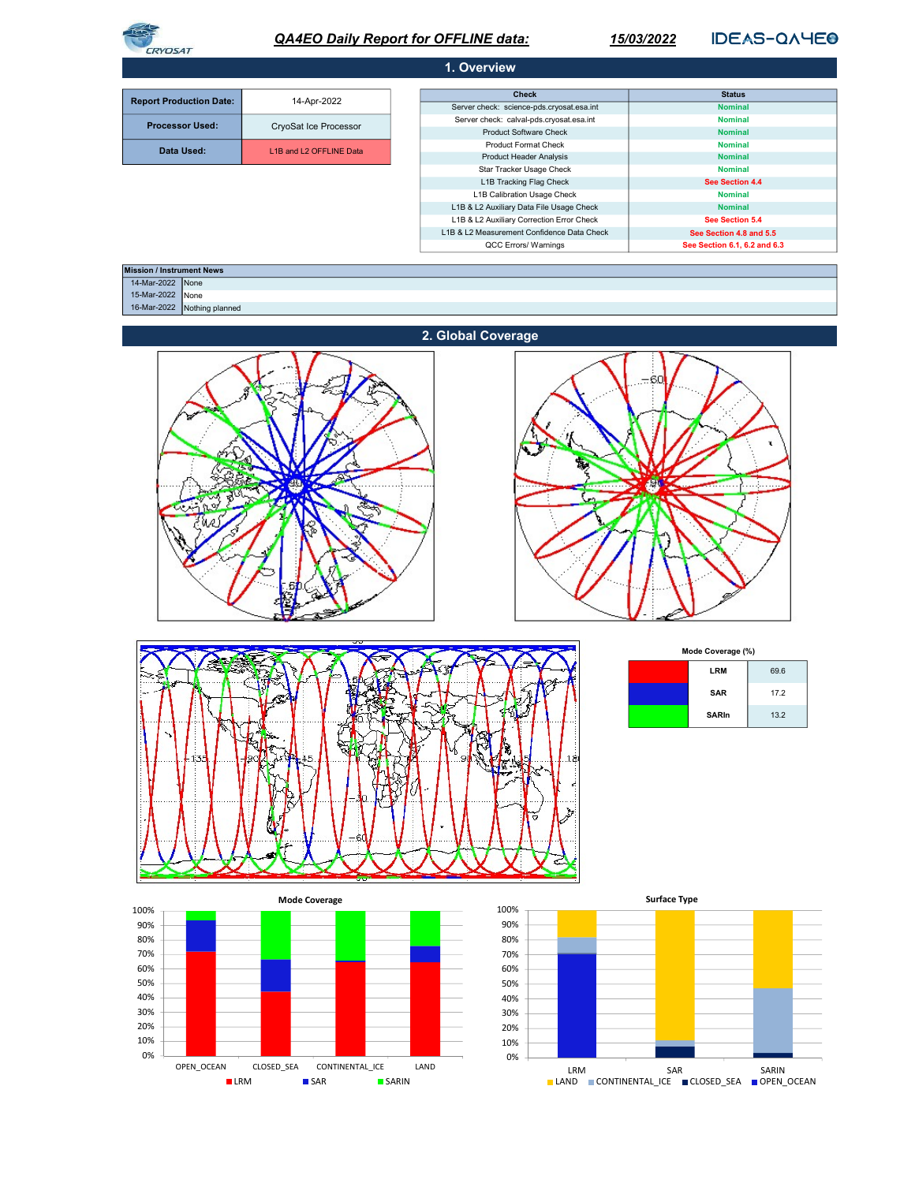

# QA4EO Daily Report for OFFLINE data:

15/03/2022

**IDEAS-QAYEO** 

| 1. Overview                    |                         |                                            |                              |  |  |
|--------------------------------|-------------------------|--------------------------------------------|------------------------------|--|--|
|                                |                         |                                            |                              |  |  |
| <b>Report Production Date:</b> | 14-Apr-2022             | <b>Check</b>                               | <b>Status</b>                |  |  |
|                                |                         | Server check: science-pds.cryosat.esa.int  | <b>Nominal</b>               |  |  |
| <b>Processor Used:</b>         | CryoSat Ice Processor   | Server check: calval-pds.cryosat.esa.int   | <b>Nominal</b>               |  |  |
|                                |                         | <b>Product Software Check</b>              | <b>Nominal</b>               |  |  |
|                                | L1B and L2 OFFLINE Data | <b>Product Format Check</b>                | <b>Nominal</b>               |  |  |
| Data Used:                     |                         | <b>Product Header Analysis</b>             | <b>Nominal</b>               |  |  |
|                                |                         | Star Tracker Usage Check                   | <b>Nominal</b>               |  |  |
|                                |                         | L1B Tracking Flag Check                    | See Section 4.4              |  |  |
|                                |                         | L1B Calibration Usage Check                | <b>Nominal</b>               |  |  |
|                                |                         | L1B & L2 Auxiliary Data File Usage Check   | <b>Nominal</b>               |  |  |
|                                |                         | L1B & L2 Auxiliary Correction Error Check  | See Section 5.4              |  |  |
|                                |                         | L1B & L2 Measurement Confidence Data Check | See Section 4.8 and 5.5      |  |  |
|                                |                         | QCC Errors/ Warnings                       | See Section 6.1, 6.2 and 6.3 |  |  |

| <b>Mission / Instrument News</b> |                             |  |
|----------------------------------|-----------------------------|--|
| 14-Mar-2022 None                 |                             |  |
| 15-Mar-2022 None                 |                             |  |
|                                  | 16-Mar-2022 Nothing planned |  |











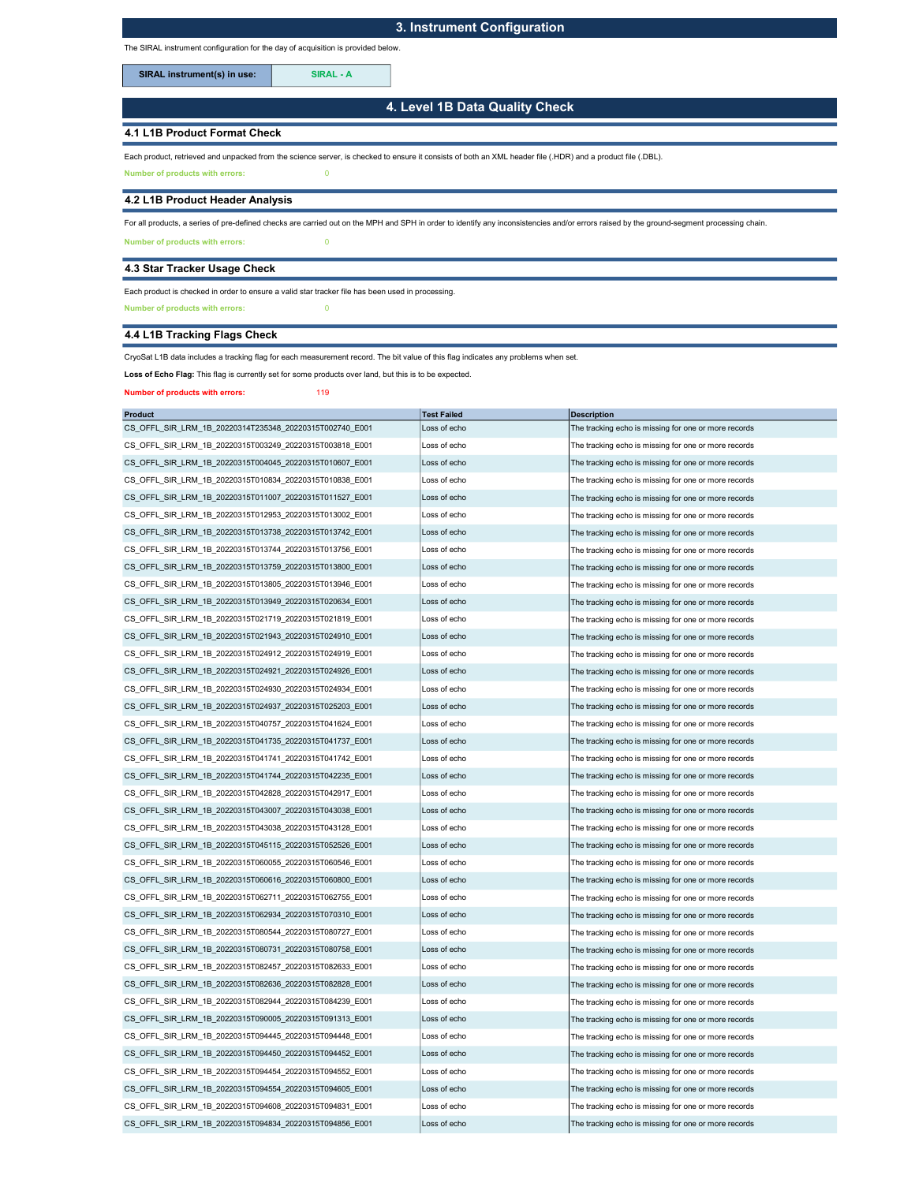## 3. Instrument Configuration

The SIRAL instrument configuration for the day of acquisition is provided below.

SIRAL instrument(s) in use: SIRAL - A

4. Level 1B Data Quality Check

### 4.1 L1B Product Format Check

Each product, retrieved and unpacked from the science server, is checked to ensure it consists of both an XML header file (.HDR) and a product file (.DBL).

Number of products with errors: 0

#### 4.2 L1B Product Header Analysis

For all products, a series of pre-defined checks are carried out on the MPH and SPH in order to identify any inconsistencies and/or errors raised by the ground-segment processing chain.

Number of products with errors: 0

### 4.3 Star Tracker Usage Check

Each product is checked in order to ensure a valid star tracker file has been used in processing.

Number of products with errors: 0

## 4.4 L1B Tracking Flags Check

CryoSat L1B data includes a tracking flag for each measurement record. The bit value of this flag indicates any problems when set.

Loss of Echo Flag: This flag is currently set for some products over land, but this is to be expected.

Number of products with errors: 119

| <b>Product</b>                                          | <b>Test Failed</b> | <b>Description</b>                                   |
|---------------------------------------------------------|--------------------|------------------------------------------------------|
| CS OFFL SIR LRM 1B 20220314T235348 20220315T002740 E001 | Loss of echo       | The tracking echo is missing for one or more records |
| CS OFFL SIR LRM 1B 20220315T003249 20220315T003818 E001 | Loss of echo       | The tracking echo is missing for one or more records |
| CS OFFL SIR LRM 1B 20220315T004045 20220315T010607 E001 | Loss of echo       | The tracking echo is missing for one or more records |
| CS OFFL SIR LRM 1B 20220315T010834 20220315T010838 E001 | Loss of echo       | The tracking echo is missing for one or more records |
| CS OFFL SIR LRM 1B 20220315T011007 20220315T011527 E001 | Loss of echo       | The tracking echo is missing for one or more records |
| CS_OFFL_SIR_LRM_1B_20220315T012953_20220315T013002_E001 | Loss of echo       | The tracking echo is missing for one or more records |
| CS OFFL SIR LRM 1B 20220315T013738 20220315T013742 E001 | Loss of echo       | The tracking echo is missing for one or more records |
| CS OFFL SIR LRM_1B_20220315T013744_20220315T013756_E001 | Loss of echo       | The tracking echo is missing for one or more records |
| CS_OFFL_SIR_LRM_1B_20220315T013759_20220315T013800_E001 | Loss of echo       | The tracking echo is missing for one or more records |
| CS OFFL SIR LRM 1B 20220315T013805 20220315T013946 E001 | Loss of echo       | The tracking echo is missing for one or more records |
| CS OFFL SIR LRM 1B 20220315T013949 20220315T020634 E001 | Loss of echo       | The tracking echo is missing for one or more records |
| CS OFFL SIR LRM 1B 20220315T021719 20220315T021819 E001 | Loss of echo       | The tracking echo is missing for one or more records |
| CS OFFL SIR LRM 1B 20220315T021943 20220315T024910 E001 | Loss of echo       | The tracking echo is missing for one or more records |
| CS OFFL SIR LRM 1B 20220315T024912 20220315T024919 E001 | Loss of echo       | The tracking echo is missing for one or more records |
| CS_OFFL_SIR_LRM_1B_20220315T024921_20220315T024926_E001 | Loss of echo       | The tracking echo is missing for one or more records |
| CS OFFL SIR LRM 1B 20220315T024930 20220315T024934 E001 | Loss of echo       | The tracking echo is missing for one or more records |
| CS OFFL SIR LRM 1B 20220315T024937 20220315T025203 E001 | Loss of echo       | The tracking echo is missing for one or more records |
| CS OFFL SIR LRM 1B 20220315T040757 20220315T041624 E001 | Loss of echo       | The tracking echo is missing for one or more records |
| CS OFFL SIR LRM 1B 20220315T041735 20220315T041737 E001 | Loss of echo       | The tracking echo is missing for one or more records |
| CS_OFFL_SIR_LRM_1B_20220315T041741_20220315T041742_E001 | Loss of echo       | The tracking echo is missing for one or more records |
| CS OFFL SIR LRM 1B 20220315T041744 20220315T042235 E001 | Loss of echo       | The tracking echo is missing for one or more records |
| CS OFFL SIR LRM 1B 20220315T042828 20220315T042917 E001 | Loss of echo       | The tracking echo is missing for one or more records |
| CS_OFFL_SIR_LRM_1B_20220315T043007_20220315T043038_E001 | Loss of echo       | The tracking echo is missing for one or more records |
| CS OFFL SIR LRM 1B 20220315T043038 20220315T043128 E001 | Loss of echo       | The tracking echo is missing for one or more records |
| CS OFFL SIR LRM 1B 20220315T045115 20220315T052526 E001 | Loss of echo       | The tracking echo is missing for one or more records |
| CS_OFFL_SIR_LRM_1B_20220315T060055_20220315T060546_E001 | Loss of echo       | The tracking echo is missing for one or more records |
| CS OFFL SIR LRM 1B 20220315T060616 20220315T060800 E001 | Loss of echo       | The tracking echo is missing for one or more records |
| CS OFFL SIR LRM 1B 20220315T062711 20220315T062755 E001 | Loss of echo       | The tracking echo is missing for one or more records |
| CS_OFFL_SIR_LRM_1B_20220315T062934_20220315T070310_E001 | Loss of echo       | The tracking echo is missing for one or more records |
| CS OFFL SIR LRM 1B 20220315T080544 20220315T080727 E001 | Loss of echo       | The tracking echo is missing for one or more records |
| CS OFFL SIR LRM 1B 20220315T080731 20220315T080758 E001 | Loss of echo       | The tracking echo is missing for one or more records |
| CS_OFFL_SIR_LRM_1B_20220315T082457_20220315T082633_E001 | Loss of echo       | The tracking echo is missing for one or more records |
| CS OFFL SIR LRM 1B 20220315T082636 20220315T082828 E001 | Loss of echo       | The tracking echo is missing for one or more records |
| CS OFFL SIR LRM 1B 20220315T082944 20220315T084239 E001 | Loss of echo       | The tracking echo is missing for one or more records |
| CS OFFL SIR LRM 1B 20220315T090005 20220315T091313 E001 | Loss of echo       | The tracking echo is missing for one or more records |
| CS OFFL SIR LRM 1B 20220315T094445 20220315T094448 E001 | Loss of echo       | The tracking echo is missing for one or more records |
| CS OFFL SIR LRM 1B 20220315T094450 20220315T094452 E001 | Loss of echo       | The tracking echo is missing for one or more records |
| CS_OFFL_SIR_LRM_1B_20220315T094454_20220315T094552_E001 | Loss of echo       | The tracking echo is missing for one or more records |
| CS OFFL SIR LRM 1B 20220315T094554 20220315T094605 E001 | Loss of echo       | The tracking echo is missing for one or more records |
| CS OFFL SIR LRM 1B 20220315T094608 20220315T094831 E001 | Loss of echo       | The tracking echo is missing for one or more records |
| CS OFFL SIR LRM 1B 20220315T094834 20220315T094856 E001 | Loss of echo       | The tracking echo is missing for one or more records |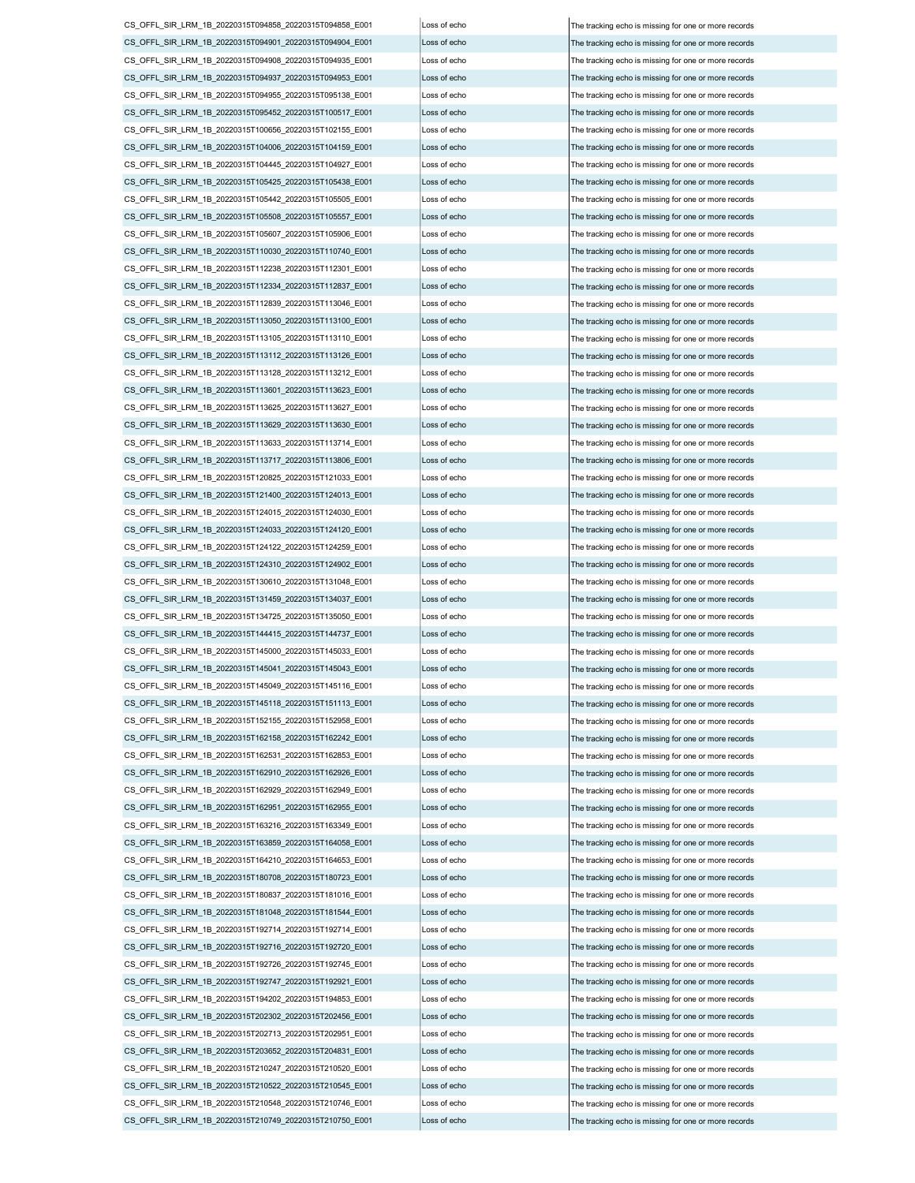CS\_OFFL\_SIR\_LRM\_1B\_20220315T094858\_20220315T094858\_E001 Loss of echo The tracking echo is missing for one or more records CS\_OFFL\_SIR\_LRM\_1B\_20220315T094901\_20220315T094904\_E001 Loss of echo The tracking echo is missing for one or more records CS\_OFFL\_SIR\_LRM\_1B\_20220315T094908\_20220315T094935\_E001 Loss of echo The tracking echo is missing for one or more records CS\_OFFL\_SIR\_LRM\_1B\_20220315T094937\_20220315T094953\_E001 Loss of echo The tracking echo is missing for one or more records CS\_OFFL\_SIR\_LRM\_1B\_20220315T094955\_20220315T095138\_E001 Loss of echo The tracking echo is missing for one or more records CS\_OFFL\_SIR\_LRM\_1B\_20220315T095452\_20220315T100517\_E001 Loss of echo The tracking echo is missing for one or more records CS\_OFFL\_SIR\_LRM\_1B\_20220315T100656\_20220315T102155\_E001 Loss of echo The tracking echo is missing for one or more records CS\_OFFL\_SIR\_LRM\_1B\_20220315T104006\_20220315T104159\_E001 Loss of echo The tracking echo is missing for one or more records CS\_OFFL\_SIR\_LRM\_1B\_20220315T104445\_20220315T104927\_E001 Loss of echo The tracking echo is missing for one or more records CS\_OFFL\_SIR\_LRM\_1B\_20220315T105425\_20220315T105438\_E001 Loss of echo The tracking echo is missing for one or more records CS\_OFFL\_SIR\_LRM\_1B\_20220315T105442\_20220315T105505\_E001 Loss of echo The tracking echo is missing for one or more records CS\_OFFL\_SIR\_LRM\_1B\_20220315T105508\_20220315T105557\_E001 Loss of echo The tracking echo is missing for one or more records CS\_OFFL\_SIR\_LRM\_1B\_20220315T105607\_20220315T105906\_E001 Loss of echo The tracking echo is missing for one or more records CS\_OFFL\_SIR\_LRM\_1B\_20220315T110030\_20220315T110740\_E001 Loss of echo The tracking echo is missing for one or more records CS\_OFFL\_SIR\_LRM\_1B\_20220315T112238\_20220315T112301\_E001 Loss of echo The tracking echo is missing for one or more records CS\_OFFL\_SIR\_LRM\_1B\_20220315T112334\_20220315T112837\_E001 Loss of echo The tracking echo is missing for one or more records CS\_OFFL\_SIR\_LRM\_1B\_20220315T112839\_20220315T113046\_E001 Loss of echo The tracking echo is missing for one or more records CS\_OFFL\_SIR\_LRM\_1B\_20220315T113050\_20220315T113100\_E001 Loss of echo The tracking echo is missing for one or more records CS\_OFFL\_SIR\_LRM\_1B\_20220315T113105\_20220315T113110\_E001 Loss of echo The tracking echo is missing for one or more records CS\_OFFL\_SIR\_LRM\_1B\_20220315T113112\_20220315T113126\_E001 Loss of echo The tracking echo is missing for one or more records CS\_OFFL\_SIR\_LRM\_1B\_20220315T113128\_20220315T113212\_E001 Loss of echo The tracking echo is missing for one or more records CS\_OFFL\_SIR\_LRM\_1B\_20220315T113601\_20220315T113623\_E001 Loss of echo The tracking echo is missing for one or more records CS\_OFFL\_SIR\_LRM\_1B\_20220315T113625\_20220315T113627\_E001 Loss of echo The tracking echo is missing for one or more records CS\_OFFL\_SIR\_LRM\_1B\_20220315T113629\_20220315T113630\_E001 Loss of echo The tracking echo is missing for one or more records CS\_OFFL\_SIR\_LRM\_1B\_20220315T113633\_20220315T113714\_E001 Loss of echo The tracking echo is missing for one or more records CS\_OFFL\_SIR\_LRM\_1B\_20220315T113717\_20220315T113806\_E001 Loss of echo The tracking echo is missing for one or more records  $CS$  OFFL\_SIR\_LRM\_1B\_20220315T120825\_20220315T121033\_E001 Loss of echo  $\vert$  The tracking echo is missing for one or more records CS\_OFFL\_SIR\_LRM\_1B\_20220315T121400\_20220315T124013\_E001 Loss of echo The tracking echo is missing for one or more records CS\_OFFL\_SIR\_LRM\_1B\_20220315T124015\_20220315T124030\_E001 Loss of echo The tracking echo is missing for one or more records CS\_OFFL\_SIR\_LRM\_1B\_20220315T124033\_20220315T124120\_E001 Loss of echo The tracking echo is missing for one or more records CS\_OFFL\_SIR\_LRM\_1B\_20220315T124122\_20220315T124259\_E001 Loss of echo The tracking echo is missing for one or more records CS\_OFFL\_SIR\_LRM\_1B\_20220315T124310\_20220315T124902\_E001 Loss of echo The tracking echo is missing for one or more records  $CS$  OFFL\_SIR\_LRM\_1B\_20220315T130610\_20220315T131048\_E001 Loss of echo  $\vert$  The tracking echo is missing for one or more records CS\_OFFL\_SIR\_LRM\_1B\_20220315T131459\_20220315T134037\_E001 Loss of echo The tracking echo is missing for one or more records CS\_OFFL\_SIR\_LRM\_1B\_20220315T134725\_20220315T135050\_E001 Loss of echo The tracking echo is missing for one or more records CS\_OFFL\_SIR\_LRM\_1B\_20220315T144415\_20220315T144737\_E001 Loss of echo The tracking echo is missing for one or more records CS\_OFFL\_SIR\_LRM\_1B\_20220315T145000\_20220315T145033\_E001 Loss of echo The tracking echo is missing for one or more records CS\_OFFL\_SIR\_LRM\_1B\_20220315T145041\_20220315T145043\_E001 Loss of echo The tracking echo is missing for one or more records CS\_OFFL\_SIR\_LRM\_1B\_20220315T145049\_20220315T145116\_E001 Loss of echo The tracking echo is missing for one or more records CS\_OFFL\_SIR\_LRM\_1B\_20220315T145118\_20220315T151113\_E001 Loss of echo The tracking echo is missing for one or more records CS\_OFFL\_SIR\_LRM\_1B\_20220315T152155\_20220315T152958\_E001 Loss of echo The tracking echo is missing for one or more records CS\_OFFL\_SIR\_LRM\_1B\_20220315T162158\_20220315T162242\_E001 Loss of echo The tracking echo is missing for one or more records CS\_OFFL\_SIR\_LRM\_1B\_20220315T162531\_20220315T162853\_E001 Loss of echo  $\vert$  The tracking echo is missing for one or more records CS\_OFFL\_SIR\_LRM\_1B\_20220315T162910\_20220315T162926\_E001 Loss of echo The tracking echo is missing for one or more records CS\_OFFL\_SIR\_LRM\_1B\_20220315T162929\_20220315T162949\_E001 Loss of echo The tracking echo is missing for one or more records CS\_OFFL\_SIR\_LRM\_1B\_20220315T162951\_20220315T162955\_E001 Loss of echo The tracking echo is missing for one or more records CS\_OFFL\_SIR\_LRM\_1B\_20220315T163216\_20220315T163349\_E001 Loss of echo The tracking echo is missing for one or more records CS\_OFFL\_SIR\_LRM\_1B\_20220315T163859\_20220315T164058\_E001 Loss of echo The tracking echo is missing for one or more records CS\_OFFL\_SIR\_LRM\_1B\_20220315T164210\_20220315T164653\_E001 Loss of echo The tracking echo is missing for one or more records CS\_OFFL\_SIR\_LRM\_1B\_20220315T180708\_20220315T180723\_E001 Loss of echo The tracking echo is missing for one or more records CS\_OFFL\_SIR\_LRM\_1B\_20220315T180837\_20220315T181016\_E001 Loss of echo The tracking echo is missing for one or more records CS\_OFFL\_SIR\_LRM\_1B\_20220315T181048\_20220315T181544\_E001 Loss of echo The tracking echo is missing for one or more records CS\_OFFL\_SIR\_LRM\_1B\_20220315T192714\_20220315T192714\_E001 Loss of echo CS\_OFFL\_SIR\_LRM\_1B\_20220315T192716\_20220315T192720\_E001 Loss of echo The tracking echo is missing for one or more records CS\_OFFL\_SIR\_LRM\_1B\_20220315T192726\_20220315T192745\_E001 Loss of echo The tracking echo is missing for one or more records CS\_OFFL\_SIR\_LRM\_1B\_20220315T192747\_20220315T192921\_E001 Loss of echo The tracking echo is missing for one or more records CS\_OFFL\_SIR\_LRM\_1B\_20220315T194202\_20220315T194853\_E001 Loss of echo The tracking echo is missing for one or more records CS\_OFFL\_SIR\_LRM\_1B\_20220315T202302\_20220315T202456\_E001 Loss of echo The tracking echo is missing for one or more records  $CS$  OFFL\_SIR\_LRM\_1B\_20220315T202713\_20220315T202951\_E001 Loss of echo  $\overline{S}$  The tracking echo is missing for one or more records CS\_OFFL\_SIR\_LRM\_1B\_20220315T203652\_20220315T204831\_E001 Loss of echo The tracking echo is missing for one or more records CS\_OFFL\_SIR\_LRM\_1B\_20220315T210247\_20220315T210520\_E001 Loss of echo The tracking echo is missing for one or more records CS\_OFFL\_SIR\_LRM\_1B\_20220315T210522\_20220315T210545\_E001 Loss of echo The tracking echo is missing for one or more records CS\_OFFL\_SIR\_LRM\_1B\_20220315T210548\_20220315T210746\_E001 Loss of echo The tracking echo is missing for one or more records CS\_OFFL\_SIR\_LRM\_1B\_20220315T210749\_20220315T210750\_E001 Loss of echo

The tracking echo is missing for one or more records The tracking echo is missing for one or more records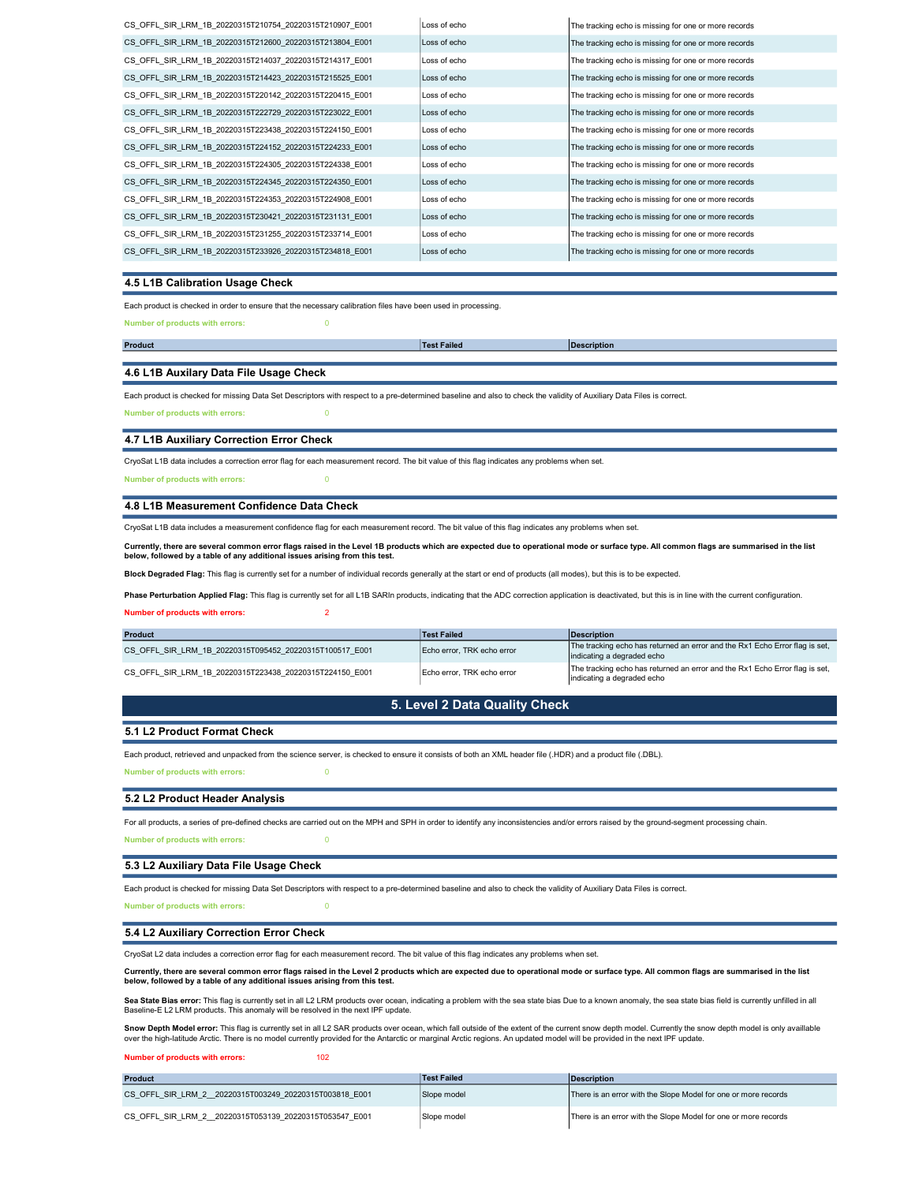| CS OFFL SIR LRM 1B 20220315T210754 20220315T210907 E001 | Loss of echo | The tracking echo is missing for one or more records |
|---------------------------------------------------------|--------------|------------------------------------------------------|
| CS OFFL SIR LRM 1B 20220315T212600 20220315T213804 E001 | Loss of echo | The tracking echo is missing for one or more records |
| CS OFFL SIR LRM 1B 20220315T214037 20220315T214317 E001 | Loss of echo | The tracking echo is missing for one or more records |
| CS OFFL SIR LRM 1B 20220315T214423 20220315T215525 E001 | Loss of echo | The tracking echo is missing for one or more records |
| CS OFFL SIR LRM 1B 20220315T220142 20220315T220415 E001 | Loss of echo | The tracking echo is missing for one or more records |
| CS OFFL SIR LRM 1B 20220315T222729 20220315T223022 E001 | Loss of echo | The tracking echo is missing for one or more records |
| CS OFFL SIR LRM 1B 20220315T223438 20220315T224150 E001 | Loss of echo | The tracking echo is missing for one or more records |
| CS OFFL SIR LRM 1B 20220315T224152 20220315T224233 E001 | Loss of echo | The tracking echo is missing for one or more records |
| CS OFFL SIR LRM 1B 20220315T224305 20220315T224338 E001 | Loss of echo | The tracking echo is missing for one or more records |
| CS OFFL SIR LRM 1B 20220315T224345 20220315T224350 E001 | Loss of echo | The tracking echo is missing for one or more records |
| CS OFFL SIR LRM 1B 20220315T224353 20220315T224908 E001 | Loss of echo | The tracking echo is missing for one or more records |
| CS OFFL SIR LRM 1B 20220315T230421 20220315T231131 E001 | Loss of echo | The tracking echo is missing for one or more records |
| CS OFFL SIR LRM 1B 20220315T231255 20220315T233714 E001 | Loss of echo | The tracking echo is missing for one or more records |
| CS OFFL SIR LRM 1B 20220315T233926 20220315T234818 E001 | Loss of echo | The tracking echo is missing for one or more records |
|                                                         |              |                                                      |

#### 4.5 L1B Calibration Usage Check

Each product is checked in order to ensure that the necessary calibration files have been used in processing.

number of products with errors: 0

Product **Description (Product Product Product Product** Product Product Product Product Product Product Product Pro Test Failed

#### 4.6 L1B Auxilary Data File Usage Check

Each product is checked for missing Data Set Descriptors with respect to a pre-determined baseline and also to check the validity of Auxiliary Data Files is correct. Number of products with errors: 0

4.7 L1B Auxiliary Correction Error Check

CryoSat L1B data includes a correction error flag for each measurement record. The bit value of this flag indicates any problems when set.

Number of products with errors: 0

#### 4.8 L1B Measurement Confidence Data Check

CryoSat L1B data includes a measurement confidence flag for each measurement record. The bit value of this flag indicates any problems when set.

Currently, there are several common error flags raised in the Level 1B products which are expected due to operational mode or surface type. All common flags are summarised in the list<br>below, followed by a table of any addi

Block Degraded Flag: This flag is currently set for a number of individual records generally at the start or end of products (all modes), but this is to be expected.

Phase Perturbation Applied Flag: This flag is currently set for all L1B SARIn products, indicating that the ADC correction application is deactivated, but this is in line with the current configuration.

#### Number of products with errors: 2

| <b>Product</b>                                          | Test Failed                | Description                                                                                               |
|---------------------------------------------------------|----------------------------|-----------------------------------------------------------------------------------------------------------|
| CS OFFL SIR LRM 1B 20220315T095452 20220315T100517 E001 | Echo error. TRK echo error | The tracking echo has returned an error and the Rx1 Echo Error flag is set,<br>indicating a degraded echo |
| CS OFFL SIR LRM 1B 20220315T223438 20220315T224150 E001 | Echo error. TRK echo error | The tracking echo has returned an error and the Rx1 Echo Error flag is set,<br>indicating a degraded echo |

## 5. Level 2 Data Quality Check

#### 5.1 L2 Product Format Check

Each product, retrieved and unpacked from the science server, is checked to ensure it consists of both an XML header file (.HDR) and a product file (.DBL).

Number of products with errors: 0

#### 5.2 L2 Product Header Analysis

Number of products with errors: 0 For all products, a series of pre-defined checks are carried out on the MPH and SPH in order to identify any inconsistencies and/or errors raised by the ground-segment processing chain.

### 5.3 L2 Auxiliary Data File Usage Check

Each product is checked for missing Data Set Descriptors with respect to a pre-determined baseline and also to check the validity of Auxiliary Data Files is correct.

# Number of products with errors:

#### 5.4 L2 Auxiliary Correction Error Check

CryoSat L2 data includes a correction error flag for each measurement record. The bit value of this flag indicates any problems when set.

Currently, there are several common error flags raised in the Level 2 products which are expected due to operational mode or surface type. All common flags are summarised in the list below, followed by a table of any additional issues arising from this test.

**Sea State Bias error:** This flag is currently set in all L2 LRM products over ocean, indicating a problem with the sea state bias Due to a known anomaly, the sea state bias field is currently unfilled in all<br>Baseline-E L2

**Snow Depth Model error:** This flag is currently set in all L2 SAR products over ocean, which fall outside of the extent of the current snow depth model. Currently the snow depth model is only availlable<br>over the high-lati

#### Number of products with errors: 102

| <b>Product</b>                                         | <b>Test Failed</b> | Description                                                    |
|--------------------------------------------------------|--------------------|----------------------------------------------------------------|
| CS OFFL SIR LRM 2 20220315T003249 20220315T003818 E001 | Slope model        | There is an error with the Slope Model for one or more records |
| CS OFFL SIR LRM 2 20220315T053139 20220315T053547 E001 | Slope model        | There is an error with the Slope Model for one or more records |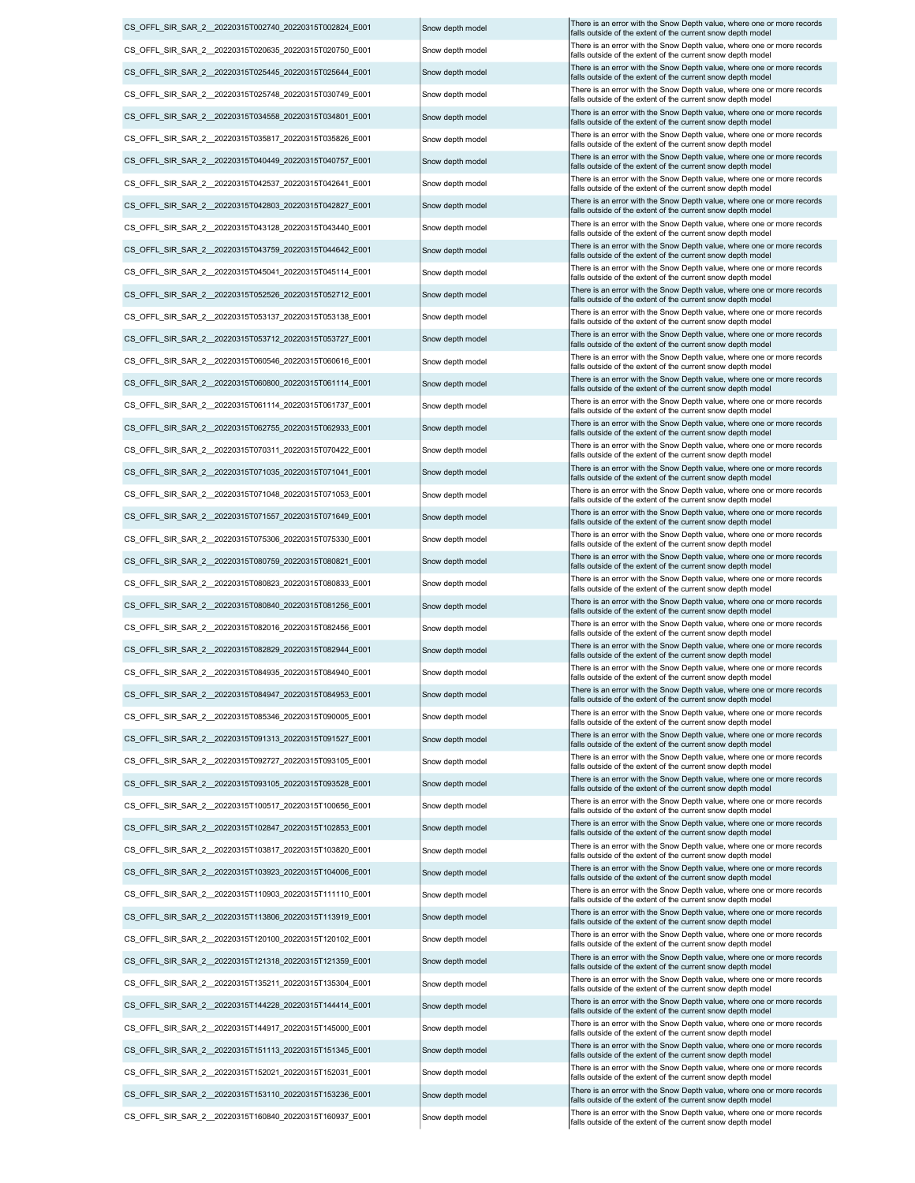| CS OFFL SIR SAR 2 20220315T002740 20220315T002824 E001                                                            | Snow depth model | There is an error with the Snow Depth value, where one or more records<br>falls outside of the extent of the current snow depth model                                                                |
|-------------------------------------------------------------------------------------------------------------------|------------------|------------------------------------------------------------------------------------------------------------------------------------------------------------------------------------------------------|
| CS OFFL SIR SAR 2 20220315T020635 20220315T020750 E001                                                            | Snow depth model | There is an error with the Snow Depth value, where one or more records<br>falls outside of the extent of the current snow depth model                                                                |
| CS OFFL SIR SAR 2 20220315T025445 20220315T025644 E001                                                            | Snow depth model | There is an error with the Snow Depth value, where one or more records<br>falls outside of the extent of the current snow depth model                                                                |
| CS_OFFL_SIR_SAR_2__20220315T025748_20220315T030749_E001                                                           | Snow depth model | There is an error with the Snow Depth value, where one or more records<br>falls outside of the extent of the current snow depth model                                                                |
| CS_OFFL_SIR_SAR_2_20220315T034558_20220315T034801_E001                                                            | Snow depth model | There is an error with the Snow Depth value, where one or more records<br>falls outside of the extent of the current snow depth model                                                                |
| CS_OFFL_SIR_SAR_2_20220315T035817_20220315T035826_E001                                                            | Snow depth model | There is an error with the Snow Depth value, where one or more records<br>falls outside of the extent of the current snow depth model                                                                |
| CS_OFFL_SIR_SAR_2_20220315T040449_20220315T040757_E001                                                            | Snow depth model | There is an error with the Snow Depth value, where one or more records<br>falls outside of the extent of the current snow depth model                                                                |
| CS OFFL SIR SAR 2 20220315T042537 20220315T042641 E001                                                            | Snow depth model | There is an error with the Snow Depth value, where one or more records<br>falls outside of the extent of the current snow depth model                                                                |
| CS_OFFL_SIR_SAR_2_20220315T042803_20220315T042827_E001                                                            | Snow depth model | There is an error with the Snow Depth value, where one or more records<br>falls outside of the extent of the current snow depth model                                                                |
| CS_OFFL_SIR_SAR_2_20220315T043128_20220315T043440_E001                                                            | Snow depth model | There is an error with the Snow Depth value, where one or more records<br>falls outside of the extent of the current snow depth model                                                                |
| CS_OFFL_SIR_SAR_2_20220315T043759_20220315T044642_E001                                                            | Snow depth model | There is an error with the Snow Depth value, where one or more records<br>falls outside of the extent of the current snow depth model                                                                |
| CS_OFFL_SIR_SAR_2_20220315T045041_20220315T045114_E001                                                            | Snow depth model | There is an error with the Snow Depth value, where one or more records<br>falls outside of the extent of the current snow depth model                                                                |
| CS_OFFL_SIR_SAR_2_20220315T052526_20220315T052712_E001                                                            | Snow depth model | There is an error with the Snow Depth value, where one or more records                                                                                                                               |
| CS_OFFL_SIR_SAR_2_20220315T053137_20220315T053138_E001                                                            | Snow depth model | falls outside of the extent of the current snow depth model<br>There is an error with the Snow Depth value, where one or more records<br>falls outside of the extent of the current snow depth model |
| CS OFFL SIR SAR 2 20220315T053712 20220315T053727 E001                                                            | Snow depth model | There is an error with the Snow Depth value, where one or more records                                                                                                                               |
| CS_OFFL_SIR_SAR_2__20220315T060546_20220315T060616_E001                                                           | Snow depth model | falls outside of the extent of the current snow depth model<br>There is an error with the Snow Depth value, where one or more records                                                                |
| CS OFFL SIR SAR 2 20220315T060800 20220315T061114 E001                                                            | Snow depth model | falls outside of the extent of the current snow depth model<br>There is an error with the Snow Depth value, where one or more records                                                                |
| CS OFFL SIR SAR 2 20220315T061114 20220315T061737 E001                                                            | Snow depth model | falls outside of the extent of the current snow depth model<br>There is an error with the Snow Depth value, where one or more records                                                                |
| CS OFFL SIR SAR 2 20220315T062755 20220315T062933 E001                                                            | Snow depth model | falls outside of the extent of the current snow depth model<br>There is an error with the Snow Depth value, where one or more records                                                                |
| CS_OFFL_SIR_SAR_2_20220315T070311_20220315T070422_E001                                                            | Snow depth model | falls outside of the extent of the current snow depth model<br>There is an error with the Snow Depth value, where one or more records                                                                |
| CS_OFFL_SIR_SAR_2_20220315T071035_20220315T071041_E001                                                            | Snow depth model | falls outside of the extent of the current snow depth model<br>There is an error with the Snow Depth value, where one or more records                                                                |
| CS_OFFL_SIR_SAR_2_20220315T071048_20220315T071053_E001                                                            | Snow depth model | falls outside of the extent of the current snow depth model<br>There is an error with the Snow Depth value, where one or more records                                                                |
| CS_OFFL_SIR_SAR_2_20220315T071557_20220315T071649_E001                                                            | Snow depth model | falls outside of the extent of the current snow depth model<br>There is an error with the Snow Depth value, where one or more records                                                                |
| CS_OFFL_SIR_SAR_2__20220315T075306_20220315T075330_E001                                                           |                  | falls outside of the extent of the current snow depth model<br>There is an error with the Snow Depth value, where one or more records                                                                |
|                                                                                                                   | Snow depth model | falls outside of the extent of the current snow depth model<br>There is an error with the Snow Depth value, where one or more records                                                                |
| CS_OFFL_SIR_SAR_2_20220315T080759_20220315T080821_E001                                                            | Snow depth model | falls outside of the extent of the current snow depth model<br>There is an error with the Snow Depth value, where one or more records                                                                |
| CS_OFFL_SIR_SAR_2__20220315T080823_20220315T080833_E001<br>CS OFFL SIR SAR 2 20220315T080840 20220315T081256 E001 | Snow depth model | falls outside of the extent of the current snow depth model<br>There is an error with the Snow Depth value, where one or more records                                                                |
|                                                                                                                   | Snow depth model | falls outside of the extent of the current snow depth model<br>There is an error with the Snow Depth value, where one or more records                                                                |
| CS_OFFL_SIR_SAR_2_20220315T082016_20220315T082456_E001                                                            | Snow depth model | falls outside of the extent of the current snow depth model<br>There is an error with the Snow Depth value, where one or more records                                                                |
| CS_OFFL_SIR_SAR_2_20220315T082829_20220315T082944_E001                                                            | Snow depth model | falls outside of the extent of the current snow depth model<br>There is an error with the Snow Depth value, where one or more records                                                                |
| CS OFFL SIR SAR 2 20220315T084935 20220315T084940 E001                                                            | Snow depth model | falls outside of the extent of the current snow depth model<br>There is an error with the Snow Depth value, where one or more records                                                                |
| CS_OFFL_SIR_SAR_2_20220315T084947_20220315T084953_E001                                                            | Snow depth model | falls outside of the extent of the current snow depth model<br>There is an error with the Snow Depth value, where one or more records                                                                |
| CS OFFL SIR SAR 2 20220315T085346 20220315T090005 E001                                                            | Snow depth model | falls outside of the extent of the current snow depth model<br>There is an error with the Snow Depth value, where one or more records                                                                |
| CS OFFL SIR SAR 2 20220315T091313 20220315T091527 E001                                                            | Snow depth model | falls outside of the extent of the current snow depth model<br>There is an error with the Snow Depth value, where one or more records                                                                |
| CS OFFL SIR SAR 2 20220315T092727 20220315T093105 E001                                                            | Snow depth model | falls outside of the extent of the current snow depth model<br>There is an error with the Snow Depth value, where one or more records                                                                |
| CS_OFFL_SIR_SAR_2_20220315T093105_20220315T093528_E001                                                            | Snow depth model | falls outside of the extent of the current snow depth model<br>There is an error with the Snow Depth value, where one or more records                                                                |
| CS OFFL SIR SAR 2 20220315T100517 20220315T100656 E001                                                            | Snow depth model | falls outside of the extent of the current snow depth model<br>There is an error with the Snow Depth value, where one or more records                                                                |
| CS_OFFL_SIR_SAR_2_20220315T102847_20220315T102853_E001                                                            | Snow depth model | falls outside of the extent of the current snow depth model<br>There is an error with the Snow Depth value, where one or more records                                                                |
| CS OFFL SIR SAR 2 20220315T103817 20220315T103820 E001                                                            | Snow depth model | falls outside of the extent of the current snow depth model                                                                                                                                          |
| CS_OFFL_SIR_SAR_2_20220315T103923_20220315T104006_E001                                                            | Snow depth model | There is an error with the Snow Depth value, where one or more records<br>falls outside of the extent of the current snow depth model                                                                |
| CS OFFL SIR SAR 2 20220315T110903 20220315T111110 E001                                                            | Snow depth model | There is an error with the Snow Depth value, where one or more records<br>falls outside of the extent of the current snow depth model                                                                |
| CS OFFL SIR SAR 2 20220315T113806 20220315T113919 E001                                                            | Snow depth model | There is an error with the Snow Depth value, where one or more records<br>falls outside of the extent of the current snow depth model                                                                |
| CS OFFL SIR SAR 2 20220315T120100 20220315T120102 E001                                                            | Snow depth model | There is an error with the Snow Depth value, where one or more records<br>falls outside of the extent of the current snow depth model                                                                |
| CS_OFFL_SIR_SAR_2_20220315T121318_20220315T121359_E001                                                            | Snow depth model | There is an error with the Snow Depth value, where one or more records<br>falls outside of the extent of the current snow depth model                                                                |
| CS OFFL SIR SAR 2 20220315T135211 20220315T135304 E001                                                            | Snow depth model | There is an error with the Snow Depth value, where one or more records<br>falls outside of the extent of the current snow depth model                                                                |
| CS OFFL SIR SAR 2 20220315T144228 20220315T144414 E001                                                            | Snow depth model | There is an error with the Snow Depth value, where one or more records<br>falls outside of the extent of the current snow depth model                                                                |
| CS_OFFL_SIR_SAR_2_20220315T144917_20220315T145000_E001                                                            | Snow depth model | There is an error with the Snow Depth value, where one or more records<br>falls outside of the extent of the current snow depth model                                                                |
| CS OFFL SIR SAR 2 20220315T151113 20220315T151345 E001                                                            | Snow depth model | There is an error with the Snow Depth value, where one or more records<br>falls outside of the extent of the current snow depth model                                                                |
| CS OFFL SIR SAR 2 20220315T152021 20220315T152031 E001                                                            | Snow depth model | There is an error with the Snow Depth value, where one or more records<br>falls outside of the extent of the current snow depth model                                                                |
| CS OFFL SIR SAR 2 20220315T153110 20220315T153236 E001                                                            | Snow depth model | There is an error with the Snow Depth value, where one or more records<br>falls outside of the extent of the current snow depth model                                                                |
| CS OFFL SIR SAR 2 20220315T160840 20220315T160937 E001                                                            | Snow depth model | There is an error with the Snow Depth value, where one or more records                                                                                                                               |

|  | Snow depth model |
|--|------------------|
|  | Snow depth model |
|  | Snow depth model |
|  | Snow depth model |
|  | Snow depth model |
|  | Snow depth model |
|  | Snow depth model |
|  | Snow depth model |
|  | Snow depth model |
|  | Snow depth model |
|  | Snow depth model |
|  | Snow depth model |
|  | Snow depth model |
|  | Snow depth model |
|  | Snow depth model |
|  | Snow depth model |
|  | Snow depth model |
|  | Snow depth model |
|  | Snow depth model |
|  | Snow depth model |
|  | Snow depth model |
|  | Snow depth model |
|  | Snow depth model |
|  | Snow depth model |
|  | Snow depth model |
|  | Snow depth model |
|  | Snow depth model |
|  | Snow depth model |
|  | Snow depth model |
|  | Snow depth model |
|  | Snow depth model |
|  | Snow depth model |
|  | Snow depth model |
|  | Snow depth model |
|  | Snow depth model |
|  | Snow depth model |
|  | Snow depth model |
|  | Snow depth model |
|  | Snow depth model |
|  | Snow depth model |
|  | Snow depth model |
|  | Snow depth model |
|  | Snow depth model |
|  | Snow depth model |
|  | Snow depth model |
|  | Snow depth model |
|  | Snow depth model |
|  | Snow depth model |
|  | Snow depth model |
|  |                  |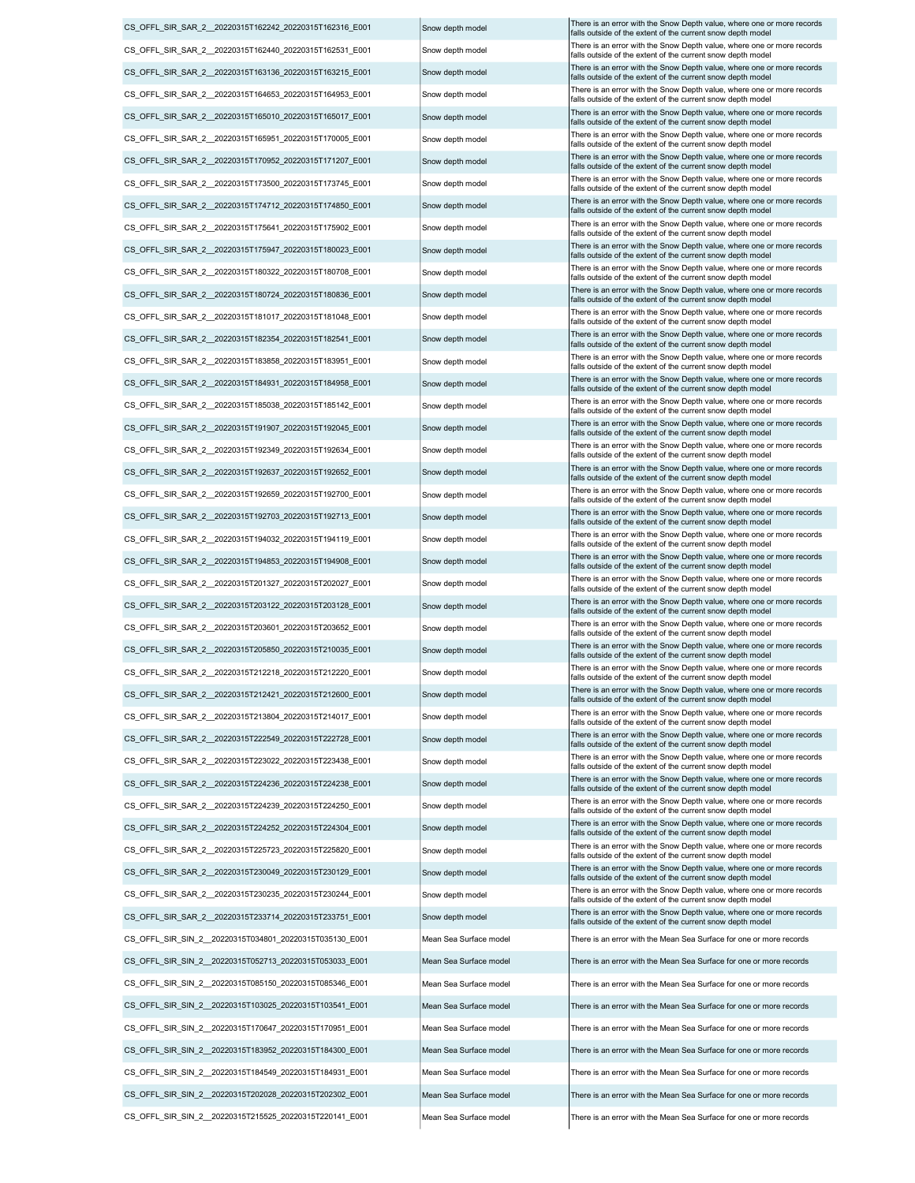CS\_OFFL\_SIR\_SAR\_2\_\_20220315T163136\_20220315T163215\_E001 Snow depth model There is an error with the Snow Depth value, where one or more records CS\_OFFL\_SIR\_SAR\_2\_20220315T164653\_20220315T164953\_E001 Snow depth model There is an error with the Snow Depth value, where one or more records CS\_OFFL\_SIR\_SAR\_2\_\_20220315T165010\_20220315T165017\_E001 Snow depth model There is an error with the Snow Depth value, where one or more records CS\_OFFL\_SIR\_SAR\_2\_20220315T165951\_20220315T170005\_E001 Snow depth model There is an error with the Snow Depth value, where one or more records CS\_OFFL\_SIR\_SAR\_2\_\_20220315T170952\_20220315T171207\_E001 Snow depth model There is an error with the Snow Depth value, where one or more records CS\_OFFL\_SIR\_SAR\_2\_20220315T173500\_20220315T173745\_E001 Snow depth model There is an error with the Snow Depth value, where one or more records CS\_OFFL\_SIR\_SAR\_2\_20220315T162440\_20220315T162531\_E001 Snow depth model There is an error with the Snow Depth value, where one or more records CS\_OFFL\_SIR\_SAR\_2\_\_20220315T174712\_20220315T174850\_E001 Snow depth model There is an error with the Snow Depth value, where one or more records CS\_OFFL\_SIR\_SAR\_2\_\_20220315T175641\_20220315T175902\_E001 Snow depth model There is an error with the Snow Depth value, where one or more records CS\_OFFL\_SIR\_SAR\_2\_20220315T175947\_20220315T180023\_E001 Snow depth model There is an error with the Snow Depth value, where one or more records CS\_OFFL\_SIR\_SAR\_2\_\_20220315T180322\_20220315T180708\_E001 Snow depth model There is an error with the Snow Depth value, where one or more records CS\_OFFL\_SIR\_SAR\_2\_\_20220315T180724\_20220315T180836\_E001 Snow depth model There is an error with the Snow Depth value, where one or more records CS\_OFFL\_SIR\_SAR\_2\_20220315T181017\_20220315T181048\_E001 Snow depth model There is an error with the Snow Depth value, where one or more records CS\_OFFL\_SIR\_SAR\_2\_20220315T203122\_20220315T203128\_E001 Snow depth model There is an error with the Snow Depth value, where one or more records CS\_OFFL\_SIR\_SAR\_2\_\_20220315T182354\_20220315T182541\_E001 Snow depth model There is an error with the Snow Depth value, where one or more records CS\_OFFL\_SIR\_SAR\_2\_\_20220315T183858\_20220315T183951\_E001 Snow depth model There is an error with the Snow Depth value, where one or more records CS\_OFFL\_SIR\_SAR\_2\_\_20220315T184931\_20220315T184958\_E001 Snow depth model There is an error with the Snow Depth value, where one or more records CS\_OFFL\_SIR\_SAR\_2\_\_20220315T185038\_20220315T185142\_E001 Snow depth model There is an error with the Snow Depth value, where one or more records CS\_OFFL\_SIR\_SAR\_2\_\_20220315T191907\_20220315T192045\_E001 Snow depth model There is an error with the Snow Depth value, where one or more records CS\_OFFL\_SIR\_SAR\_2\_20220315T192349\_20220315T192634\_E001 Snow depth model There is an error with the Snow Depth value, where one or more records CS\_OFFL\_SIR\_SAR\_2\_\_20220315T192637\_20220315T192652\_E001 Snow depth model There is an error with the Snow Depth value, where one or more records CS\_OFFL\_SIR\_SAR\_2\_20220315T192659\_20220315T192700\_E001 Snow depth model There is an error with the Snow Depth value, where one or more records CS\_OFFL\_SIR\_SAR\_2\_\_20220315T192703\_20220315T192713\_E001 Snow depth model There is an error with the Snow Depth value, where one or more records CS\_OFFL\_SIR\_SAR\_2\_\_20220315T194032\_20220315T194119\_E001 Snow depth model There is an error with the Snow Depth value, where one or more records CS\_OFFL\_SIR\_SAR\_2\_\_20220315T194853\_20220315T194908\_E001 Snow depth model There is an error with the Snow Depth value, where one or more records CS\_OFFL\_SIR\_SAR\_2\_\_20220315T201327\_20220315T202027\_E001 Snow depth model There is an error with the Snow Depth value, where one or more records CS\_OFFL\_SIR\_SAR\_2\_20220315T203601\_20220315T203652\_E001 Snow depth model There is an error with the Snow Depth value, where one or more records CS\_OFFL\_SIR\_SAR\_2\_\_20220315T205850\_20220315T210035\_E001 |Snow depth model CS\_OFFL\_SIR\_SAR\_2\_20220315T212218\_20220315T212220\_E001 Snow depth model There is an error with the Snow Depth value, where one or more records CS\_OFFL\_SIR\_SAR\_2\_\_20220315T212421\_20220315T212600\_E001 Snow depth model There is an error with the Snow Depth value, where one or more records CS\_OFFL\_SIR\_SAR\_2\_\_20220315T213804\_20220315T214017\_E001 Snow depth model There is an error with the Snow Depth value, where one or more records Snow Depth value, where one or more records Snow depth model CS\_OFFL\_SIR\_SAR\_2\_\_20220315T224252\_20220315T224304\_E001 Snow depth model There is an error with the Snow Depth value, where one or more records CS\_OFFL\_SIR\_SAR\_2\_20220315T222549\_20220315T222728\_E001 Snow depth model There is an error with the Snow Depth value, where one or more records CS\_OFFL\_SIR\_SAR\_2\_0220315T223022\_20220315T223438\_E001 Snow depth model There is an error with the Snow Depth value, where one or more records CS\_OFFL\_SIR\_SAR\_2\_\_20220315T224236\_20220315T224238\_E001 Snow depth model There is an error with the Snow Depth value, where one or more records CS\_OFFL\_SIR\_SAR\_2\_\_20220315T224239\_20220315T224250\_E001 Snow depth model CS\_OFFL\_SIR\_SAR\_2\_\_20220315T225723\_20220315T225820\_E001 Snow depth model There is an error with the Snow Depth value, where one or more records Snow Depth value, where one or more records Snow depth model CS\_OFFL\_SIR\_SAR\_2\_\_20220315T230235\_20220315T230244\_E001 Snow depth model There is an error with the Snow Depth value, where one or more records CS\_OFFL\_SIR\_SAR\_2\_\_20220315T233714\_20220315T233751\_E001 Snow depth model There is an error with the Snow Depth value, where one or more records CS\_OFFL\_SIR\_SIN\_2\_\_20220315T034801\_20220315T035130\_E001 Mean Sea Surface model There is an error with the Mean Sea Surface for one or more records CS\_OFFL\_SIR\_SIN\_2\_\_20220315T052713\_20220315T053033\_E001 Mean Sea Surface model There is an error with the Mean Sea Surface for one or more records CS\_OFFL\_SIR\_SAR\_2\_\_20220315T230049\_20220315T230129\_E001 Snow depth model There is an error with the Snow Depth value, where one or more records CS\_OFFL\_SIR\_SIN\_2\_20220315T085150\_20220315T085346\_E001 Mean Sea Surface model There is an error with the Mean Sea Surface for one or more records CS\_OFFL\_SIR\_SIN\_2\_\_20220315T202028\_20220315T202302\_E001 Mean Sea Surface model There is an error with the Mean Sea Surface for one or more records CS\_OFFL\_SIR\_SIN\_2\_\_20220315T103025\_20220315T103541\_E001 Mean Sea Surface model There is an error with the Mean Sea Surface for one or more records CS\_OFFL\_SIR\_SIN\_2 \_ 20220315T170647\_20220315T170951\_E001 Mean Sea Surface model There is an error with the Mean Sea Surface for one or more records CS\_OFFL\_SIR\_SIN\_2\_20220315T183952\_20220315T184300\_E001 Mean Sea Surface model There is an error with the Mean Sea Surface for one or more records CS\_OFFL\_SIR\_SIN\_2\_\_20220315T184549\_20220315T184931\_E001 Mean Sea Surface model CS\_OFFL\_SIR\_SIN\_2 \_20220315T215525\_20220315T220141\_E001 Mean Sea Surface model There is an error with the Mean Sea Surface for one or more records

falls outside of the extent of the current snow depth model falls outside of the extent of the current snow depth model falls outside of the extent of the current snow depth model falls outside of the extent of the current snow depth mode falls outside of the extent of the current snow depth mode falls outside of the extent of the current snow depth mode CS\_OFFL\_SIR\_SAR\_2\_0220315T162242\_20220315T162316\_E001 Snow depth model There is an error with the Snow Depth value, where one or more records falls outside of the extent of the current snow depth mode falls outside of the extent of the current snow depth model falls outside of the extent of the current snow depth model falls outside of the extent of the current snow depth model falls outside of the extent of the current snow depth mode falls outside of the extent of the current snow depth mode falls outside of the extent of the current snow depth mod falls outside of the extent of the current snow depth model falls outside of the extent of the current snow depth mode falls outside of the extent of the current snow depth model falls outside of the extent of the current snow depth model falls outside of the extent of the current snow depth model falls outside of the extent of the current snow depth mode falls outside of the extent of the current snow depth mode falls outside of the extent of the current snow depth model falls outside of the extent of the current snow depth model falls outside of the extent of the current snow depth model falls outside of the extent of the current snow depth mode falls outside of the extent of the current snow depth model falls outside of the extent of the current snow depth model falls outside of the extent of the current snow depth model falls outside of the extent of the current snow depth model<br>There is an error with the Snow Depth value, where one or more records falls outside of the extent of the current snow depth model falls outside of the extent of the current snow depth mode falls outside of the extent of the current snow depth model There is an error with the Snow Depth value, where one or more records falls outside of the extent of the current snow depth model falls outside of the extent of the current snow depth model falls outside of the extent of the current snow depth model falls outside of the extent of the current snow depth model falls outside of the extent of the current snow depth mode falls outside of the extent of the current snow depth mode falls outside of the extent of the current snow depth mode falls outside of the extent of the current snow depth model There is an error with the Mean Sea Surface for one or more records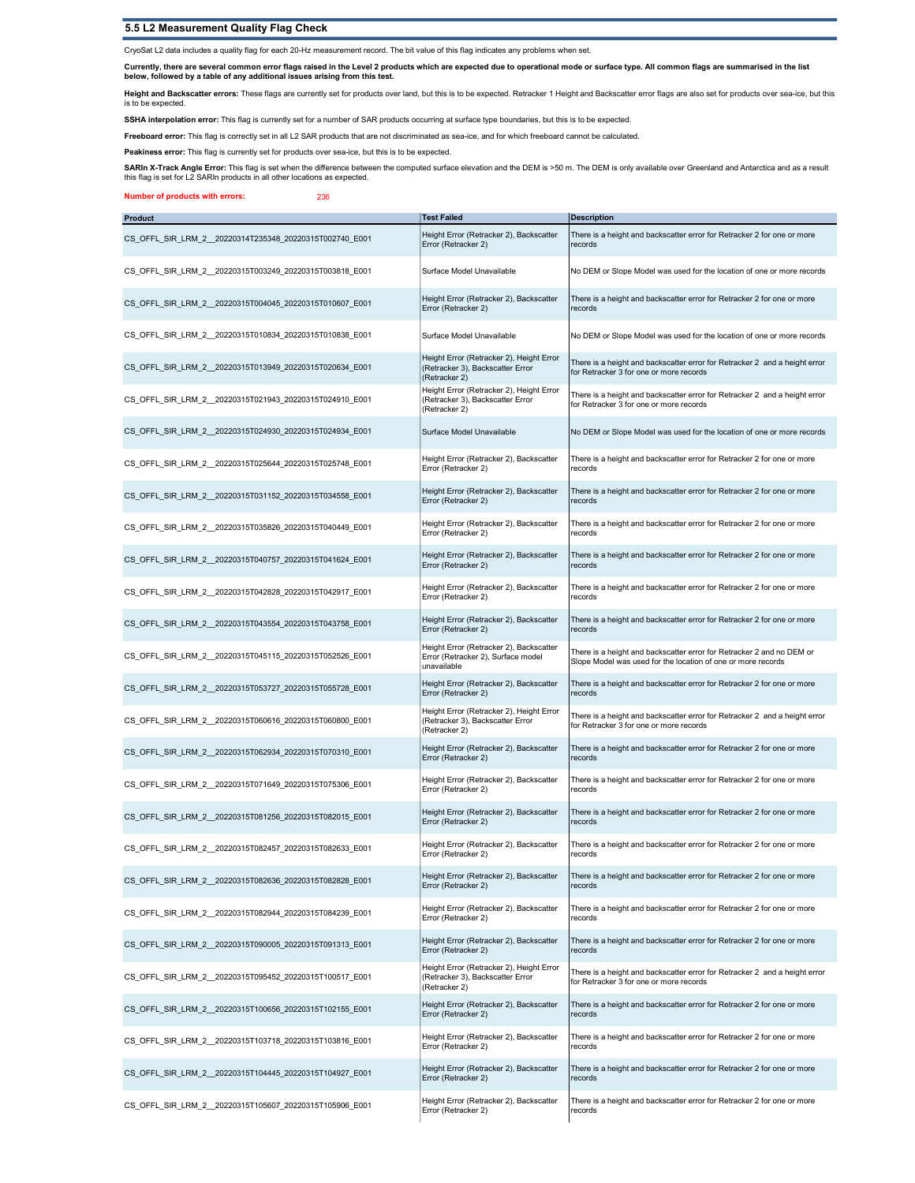## 5.5 L2 Measurement Quality Flag Check

CryoSat L2 data includes a quality flag for each 20-Hz measurement record. The bit value of this flag indicates any problems when set.

Currently, there are several common error flags raised in the Level 2 products which are expected due to operational mode or surface type. All common flags are summarised in the list<br>below, followed by a table of any addit

**Height and Backscatter errors:** These flags are currently set for products over land, but this is to be expected. Retracker 1 Height and Backscatter error flags are also set for products over sea-ice, but this<br>is to be ex

SSHA interpolation error: This flag is currently set for a number of SAR products occurring at surface type boundaries, but this is to be expected.

Freeboard error: This flag is correctly set in all L2 SAR products that are not discriminated as sea-ice, and for which freeboard cannot be calculated.

Peakiness error: This flag is currently set for products over sea-ice, but this is to be expected.

**SARIn X-Track Angle Error**: This flag is set when the difference between the computed surface elevation and the DEM is >50 m. The DEM is only available over Greenland and Antarctica and as a result<br>this flag is set for L2

Number of products with errors: 236

| <b>Product</b>                                          | <b>Test Failed</b>                                                                            | <b>Description</b>                                                                                                                    |
|---------------------------------------------------------|-----------------------------------------------------------------------------------------------|---------------------------------------------------------------------------------------------------------------------------------------|
| CS_OFFL_SIR_LRM_2_20220314T235348_20220315T002740_E001  | Height Error (Retracker 2), Backscatter<br>Error (Retracker 2)                                | There is a height and backscatter error for Retracker 2 for one or more<br>records                                                    |
| CS_OFFL_SIR_LRM_2_20220315T003249_20220315T003818_E001  | Surface Model Unavailable                                                                     | No DEM or Slope Model was used for the location of one or more records                                                                |
| CS OFFL SIR LRM 2 20220315T004045 20220315T010607 E001  | Height Error (Retracker 2), Backscatter<br>Error (Retracker 2)                                | There is a height and backscatter error for Retracker 2 for one or more<br>records                                                    |
| CS OFFL SIR LRM 2 20220315T010834 20220315T010838 E001  | Surface Model Unavailable                                                                     | No DEM or Slope Model was used for the location of one or more records                                                                |
| CS_OFFL_SIR_LRM_2_20220315T013949_20220315T020634_E001  | Height Error (Retracker 2), Height Error<br>(Retracker 3), Backscatter Error<br>(Retracker 2) | There is a height and backscatter error for Retracker 2 and a height error<br>for Retracker 3 for one or more records                 |
| CS_OFFL_SIR_LRM_2_20220315T021943_20220315T024910_E001  | Height Error (Retracker 2), Height Error<br>(Retracker 3), Backscatter Error<br>(Retracker 2) | There is a height and backscatter error for Retracker 2 and a height error<br>for Retracker 3 for one or more records                 |
| CS OFFL SIR LRM 2 20220315T024930 20220315T024934 E001  | Surface Model Unavailable                                                                     | No DEM or Slope Model was used for the location of one or more records                                                                |
| CS_OFFL_SIR_LRM_2_20220315T025644_20220315T025748_E001  | Height Error (Retracker 2), Backscatter<br>Error (Retracker 2)                                | There is a height and backscatter error for Retracker 2 for one or more<br>records                                                    |
| CS OFFL SIR LRM 2 20220315T031152 20220315T034558 E001  | Height Error (Retracker 2), Backscatter<br>Error (Retracker 2)                                | There is a height and backscatter error for Retracker 2 for one or more<br>records                                                    |
| CS OFFL SIR LRM 2 20220315T035826 20220315T040449 E001  | Height Error (Retracker 2), Backscatter<br>Error (Retracker 2)                                | There is a height and backscatter error for Retracker 2 for one or more<br>records                                                    |
| CS_OFFL_SIR_LRM_2_20220315T040757_20220315T041624_E001  | Height Error (Retracker 2), Backscatter<br>Error (Retracker 2)                                | There is a height and backscatter error for Retracker 2 for one or more<br>records                                                    |
| CS_OFFL_SIR_LRM_2_20220315T042828_20220315T042917_E001  | Height Error (Retracker 2), Backscatter<br>Error (Retracker 2)                                | There is a height and backscatter error for Retracker 2 for one or more<br>records                                                    |
| CS OFFL SIR LRM 2 20220315T043554 20220315T043758 E001  | Height Error (Retracker 2), Backscatter<br>Error (Retracker 2)                                | There is a height and backscatter error for Retracker 2 for one or more<br>records                                                    |
| CS_OFFL_SIR_LRM_2_20220315T045115_20220315T052526_E001  | Height Error (Retracker 2), Backscatter<br>Error (Retracker 2), Surface model<br>unavailable  | There is a height and backscatter error for Retracker 2 and no DEM or<br>Slope Model was used for the location of one or more records |
| CS_OFFL_SIR_LRM_2_20220315T053727_20220315T055728_E001  | Height Error (Retracker 2), Backscatter<br>Error (Retracker 2)                                | There is a height and backscatter error for Retracker 2 for one or more<br>records                                                    |
| CS OFFL SIR LRM 2 20220315T060616 20220315T060800 E001  | Height Error (Retracker 2), Height Error<br>(Retracker 3), Backscatter Error<br>(Retracker 2) | There is a height and backscatter error for Retracker 2 and a height error<br>for Retracker 3 for one or more records                 |
| CS_OFFL_SIR_LRM_2_20220315T062934_20220315T070310_E001  | Height Error (Retracker 2), Backscatter<br>Error (Retracker 2)                                | There is a height and backscatter error for Retracker 2 for one or more<br>records                                                    |
| CS_OFFL_SIR_LRM_2_20220315T071649_20220315T075306_E001  | Height Error (Retracker 2), Backscatter<br>Error (Retracker 2)                                | There is a height and backscatter error for Retracker 2 for one or more<br>records                                                    |
| CS OFFL SIR LRM 2 20220315T081256 20220315T082015 E001  | Height Error (Retracker 2), Backscatter<br>Error (Retracker 2)                                | There is a height and backscatter error for Retracker 2 for one or more<br>records                                                    |
| CS_OFFL_SIR_LRM_2_20220315T082457_20220315T082633_E001  | Height Error (Retracker 2), Backscatter<br>Error (Retracker 2)                                | There is a height and backscatter error for Retracker 2 for one or more<br>records                                                    |
| CS_OFFL_SIR_LRM_2__20220315T082636_20220315T082828_E001 | Height Error (Retracker 2), Backscatter<br>Error (Retracker 2)                                | There is a height and backscatter error for Retracker 2 for one or more<br>records                                                    |
| CS OFFL SIR LRM 2 20220315T082944 20220315T084239 E001  | Height Error (Retracker 2), Backscatter<br>Error (Retracker 2)                                | There is a height and backscatter error for Retracker 2 for one or more<br>records                                                    |
| CS OFFL SIR LRM 2 20220315T090005 20220315T091313 E001  | Height Error (Retracker 2), Backscatter<br>Error (Retracker 2)                                | There is a height and backscatter error for Retracker 2 for one or more<br>records                                                    |
| CS OFFL SIR LRM 2 20220315T095452 20220315T100517 E001  | Height Error (Retracker 2), Height Error<br>(Retracker 3), Backscatter Error<br>(Retracker 2) | There is a height and backscatter error for Retracker 2 and a height error<br>for Retracker 3 for one or more records                 |
| CS OFFL SIR LRM 2 20220315T100656 20220315T102155 E001  | Height Error (Retracker 2), Backscatter<br>Error (Retracker 2)                                | There is a height and backscatter error for Retracker 2 for one or more<br>records                                                    |
| CS OFFL SIR LRM 2 20220315T103718 20220315T103816 E001  | Height Error (Retracker 2), Backscatter<br>Error (Retracker 2)                                | There is a height and backscatter error for Retracker 2 for one or more<br>records                                                    |
| CS OFFL SIR LRM 2 20220315T104445 20220315T104927 E001  | Height Error (Retracker 2), Backscatter<br>Error (Retracker 2)                                | There is a height and backscatter error for Retracker 2 for one or more<br>records                                                    |
| CS OFFL SIR LRM 2 20220315T105607 20220315T105906 E001  | Height Error (Retracker 2), Backscatter<br>Error (Retracker 2)                                | There is a height and backscatter error for Retracker 2 for one or more<br>records                                                    |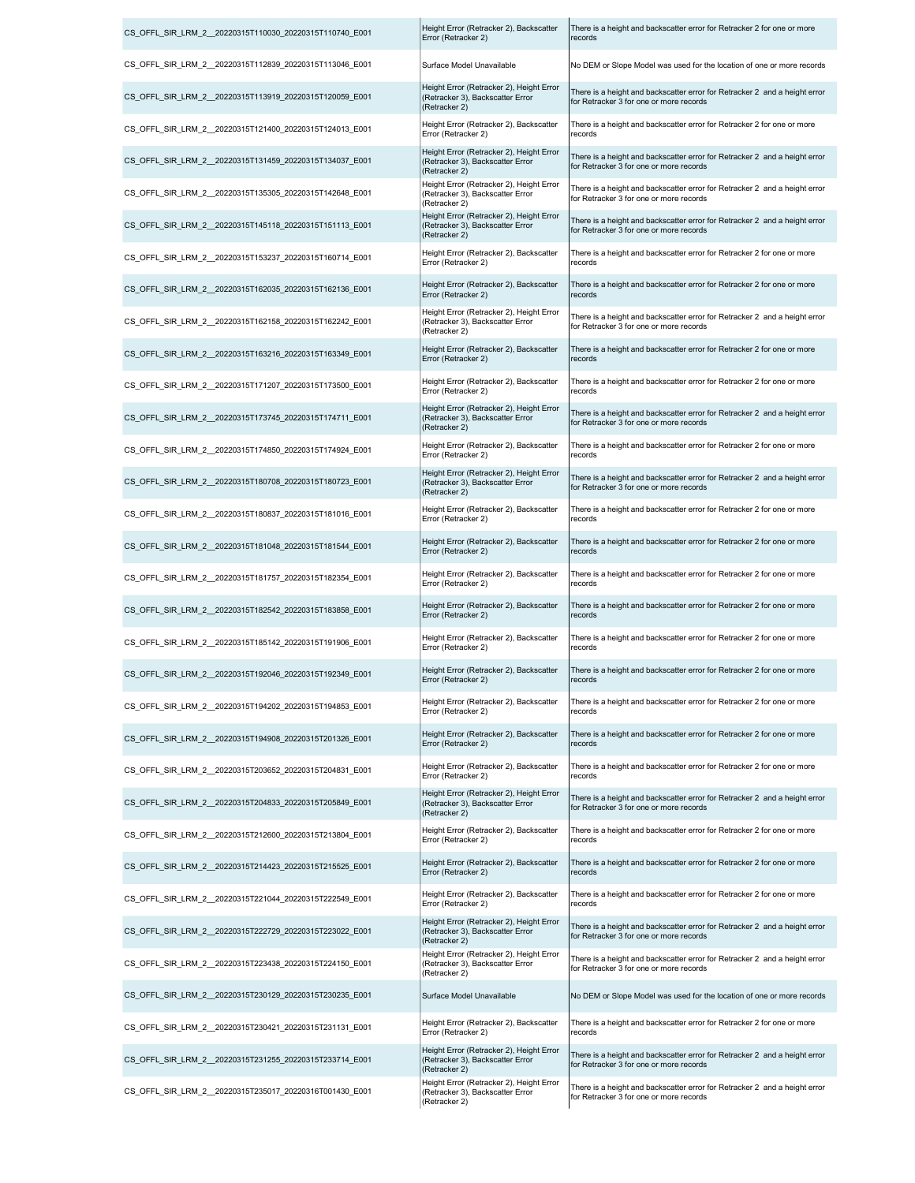| CS OFFL SIR LRM 2 20220315T110030 20220315T110740 E001 | Height Error (Retracker 2), Backscatter<br>Error (Retracker 2)                                | There is a height and backscatter error for Retracker 2 for one or more<br>records                                    |
|--------------------------------------------------------|-----------------------------------------------------------------------------------------------|-----------------------------------------------------------------------------------------------------------------------|
| CS OFFL SIR LRM 2 20220315T112839 20220315T113046 E001 | Surface Model Unavailable                                                                     | No DEM or Slope Model was used for the location of one or more records                                                |
| CS OFFL SIR LRM 2 20220315T113919 20220315T120059 E001 | Height Error (Retracker 2), Height Error<br>(Retracker 3), Backscatter Error<br>(Retracker 2) | There is a height and backscatter error for Retracker 2 and a height error<br>for Retracker 3 for one or more records |
| CS OFFL SIR LRM 2 20220315T121400 20220315T124013 E001 | Height Error (Retracker 2), Backscatter<br>Error (Retracker 2)                                | There is a height and backscatter error for Retracker 2 for one or more<br>records                                    |
| CS OFFL SIR LRM 2 20220315T131459 20220315T134037 E001 | Height Error (Retracker 2), Height Error<br>(Retracker 3), Backscatter Error<br>(Retracker 2) | There is a height and backscatter error for Retracker 2 and a height error<br>for Retracker 3 for one or more records |
| CS OFFL SIR LRM 2 20220315T135305 20220315T142648 E001 | Height Error (Retracker 2), Height Error<br>(Retracker 3), Backscatter Error<br>(Retracker 2) | There is a height and backscatter error for Retracker 2 and a height error<br>for Retracker 3 for one or more records |
| CS OFFL SIR LRM 2 20220315T145118 20220315T151113 E001 | Height Error (Retracker 2), Height Error<br>(Retracker 3), Backscatter Error<br>(Retracker 2) | There is a height and backscatter error for Retracker 2 and a height error<br>for Retracker 3 for one or more records |
| CS_OFFL_SIR_LRM_2_20220315T153237_20220315T160714_E001 | Height Error (Retracker 2), Backscatter<br>Error (Retracker 2)                                | There is a height and backscatter error for Retracker 2 for one or more<br>records                                    |
| CS_OFFL_SIR_LRM_2_20220315T162035_20220315T162136_E001 | Height Error (Retracker 2), Backscatter<br>Error (Retracker 2)                                | There is a height and backscatter error for Retracker 2 for one or more<br>records                                    |
| CS OFFL SIR LRM 2 20220315T162158 20220315T162242 E001 | Height Error (Retracker 2), Height Error<br>(Retracker 3), Backscatter Error<br>(Retracker 2) | There is a height and backscatter error for Retracker 2 and a height error<br>for Retracker 3 for one or more records |
| CS OFFL SIR LRM 2 20220315T163216 20220315T163349 E001 | Height Error (Retracker 2), Backscatter<br>Error (Retracker 2)                                | There is a height and backscatter error for Retracker 2 for one or more<br>records                                    |
| CS OFFL SIR LRM 2 20220315T171207 20220315T173500 E001 | Height Error (Retracker 2), Backscatter<br>Error (Retracker 2)                                | There is a height and backscatter error for Retracker 2 for one or more<br>records                                    |
| CS OFFL SIR LRM 2 20220315T173745 20220315T174711 E001 | Height Error (Retracker 2), Height Error<br>(Retracker 3), Backscatter Error<br>(Retracker 2) | There is a height and backscatter error for Retracker 2 and a height error<br>for Retracker 3 for one or more records |
| CS OFFL SIR LRM 2 20220315T174850 20220315T174924 E001 | Height Error (Retracker 2), Backscatter<br>Error (Retracker 2)                                | There is a height and backscatter error for Retracker 2 for one or more<br>records                                    |
| CS OFFL SIR LRM 2 20220315T180708 20220315T180723 E001 | Height Error (Retracker 2), Height Error<br>(Retracker 3), Backscatter Error<br>(Retracker 2) | There is a height and backscatter error for Retracker 2 and a height error<br>for Retracker 3 for one or more records |
| CS OFFL SIR LRM 2 20220315T180837 20220315T181016 E001 | Height Error (Retracker 2), Backscatter<br>Error (Retracker 2)                                | There is a height and backscatter error for Retracker 2 for one or more<br>records                                    |
| CS OFFL SIR LRM 2 20220315T181048 20220315T181544 E001 | Height Error (Retracker 2), Backscatter<br>Error (Retracker 2)                                | There is a height and backscatter error for Retracker 2 for one or more<br>records                                    |
| CS_OFFL_SIR_LRM_2_20220315T181757_20220315T182354_E001 | Height Error (Retracker 2), Backscatter<br>Error (Retracker 2)                                | There is a height and backscatter error for Retracker 2 for one or more<br>records                                    |
| CS OFFL SIR LRM 2 20220315T182542 20220315T183858 E001 | Height Error (Retracker 2), Backscatter<br>Error (Retracker 2)                                | There is a height and backscatter error for Retracker 2 for one or more<br>records                                    |
| CS OFFL SIR LRM 2 20220315T185142 20220315T191906 E001 | Height Error (Retracker 2), Backscatter<br>Error (Retracker 2)                                | There is a height and backscatter error for Retracker 2 for one or more<br>records                                    |
| CS OFFL SIR LRM 2 20220315T192046 20220315T192349 E001 | Height Error (Retracker 2), Backscatter<br>Error (Retracker 2)                                | There is a height and backscatter error for Retracker 2 for one or more<br>records                                    |
| CS OFFL SIR LRM 2 20220315T194202 20220315T194853 E001 | Height Error (Retracker 2), Backscatter<br>Error (Retracker 2)                                | There is a height and backscatter error for Retracker 2 for one or more<br>records                                    |
| CS OFFL SIR LRM 2 20220315T194908 20220315T201326 E001 | Height Error (Retracker 2), Backscatter<br>Error (Retracker 2)                                | There is a height and backscatter error for Retracker 2 for one or more<br>records                                    |
| CS_OFFL_SIR_LRM_2_20220315T203652_20220315T204831_E001 | Height Error (Retracker 2), Backscatter<br>Error (Retracker 2)                                | There is a height and backscatter error for Retracker 2 for one or more<br>records                                    |
| CS OFFL SIR LRM 2 20220315T204833 20220315T205849 E001 | Height Error (Retracker 2), Height Error<br>(Retracker 3), Backscatter Error<br>(Retracker 2) | There is a height and backscatter error for Retracker 2 and a height error<br>for Retracker 3 for one or more records |
| CS OFFL SIR LRM 2 20220315T212600 20220315T213804 E001 | Height Error (Retracker 2), Backscatter<br>Error (Retracker 2)                                | There is a height and backscatter error for Retracker 2 for one or more<br>records                                    |
| CS OFFL SIR LRM 2 20220315T214423 20220315T215525 E001 | Height Error (Retracker 2), Backscatter<br>Error (Retracker 2)                                | There is a height and backscatter error for Retracker 2 for one or more<br>records                                    |
| CS_OFFL_SIR_LRM_2_20220315T221044_20220315T222549_E001 | Height Error (Retracker 2), Backscatter<br>Error (Retracker 2)                                | There is a height and backscatter error for Retracker 2 for one or more<br>records                                    |
| CS OFFL SIR LRM 2 20220315T222729 20220315T223022 E001 | Height Error (Retracker 2), Height Error<br>(Retracker 3), Backscatter Error<br>(Retracker 2) | There is a height and backscatter error for Retracker 2 and a height error<br>for Retracker 3 for one or more records |
| CS OFFL SIR LRM 2 20220315T223438 20220315T224150 E001 | Height Error (Retracker 2), Height Error<br>(Retracker 3), Backscatter Error<br>(Retracker 2) | There is a height and backscatter error for Retracker 2 and a height error<br>for Retracker 3 for one or more records |
| CS OFFL SIR LRM 2 20220315T230129 20220315T230235 E001 | Surface Model Unavailable                                                                     | No DEM or Slope Model was used for the location of one or more records                                                |
| CS OFFL SIR LRM 2 20220315T230421 20220315T231131 E001 | Height Error (Retracker 2), Backscatter<br>Error (Retracker 2)                                | There is a height and backscatter error for Retracker 2 for one or more<br>records                                    |
| CS OFFL SIR LRM 2 20220315T231255 20220315T233714 E001 | Height Error (Retracker 2), Height Error<br>(Retracker 3), Backscatter Error<br>(Retracker 2) | There is a height and backscatter error for Retracker 2 and a height error<br>for Retracker 3 for one or more records |
| CS_OFFL_SIR_LRM_2_20220315T235017_20220316T001430_E001 | Height Error (Retracker 2), Height Error<br>(Retracker 3), Backscatter Error<br>(Retracker 2) | There is a height and backscatter error for Retracker 2 and a height error<br>for Retracker 3 for one or more records |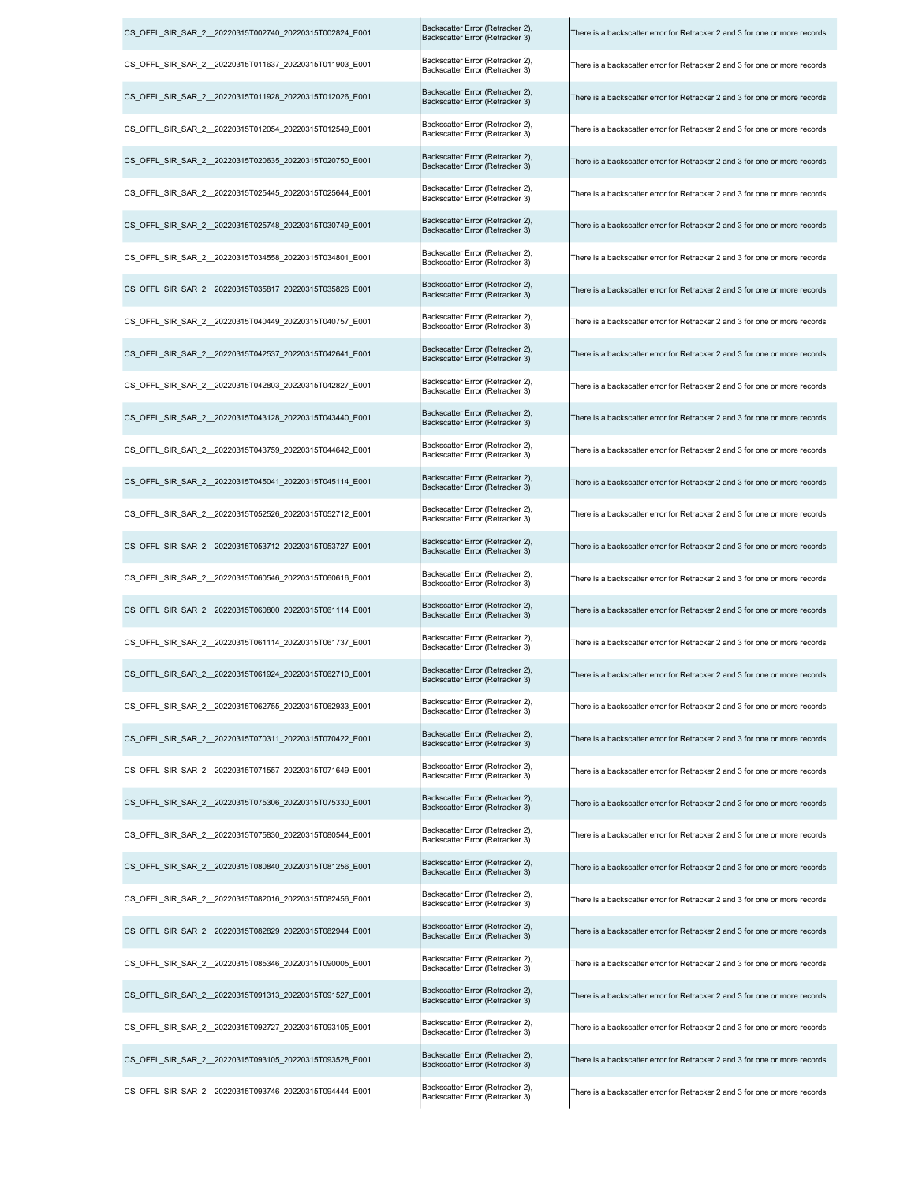| CS_OFFL_SIR_SAR_2_20220315T002740_20220315T002824_E001  | Backscatter Error (Retracker 2),<br>Backscatter Error (Retracker 3) | There is a backscatter error for Retracker 2 and 3 for one or more records |
|---------------------------------------------------------|---------------------------------------------------------------------|----------------------------------------------------------------------------|
| CS_OFFL_SIR_SAR_2__20220315T011637_20220315T011903_E001 | Backscatter Error (Retracker 2),<br>Backscatter Error (Retracker 3) | There is a backscatter error for Retracker 2 and 3 for one or more records |
| CS OFFL SIR SAR 2 20220315T011928 20220315T012026 E001  | Backscatter Error (Retracker 2),<br>Backscatter Error (Retracker 3) | There is a backscatter error for Retracker 2 and 3 for one or more records |
| CS_OFFL_SIR_SAR_2__20220315T012054_20220315T012549_E001 | Backscatter Error (Retracker 2),<br>Backscatter Error (Retracker 3) | There is a backscatter error for Retracker 2 and 3 for one or more records |
| CS_OFFL_SIR_SAR_2__20220315T020635_20220315T020750_E001 | Backscatter Error (Retracker 2),<br>Backscatter Error (Retracker 3) | There is a backscatter error for Retracker 2 and 3 for one or more records |
| CS OFFL SIR SAR 2 20220315T025445 20220315T025644 E001  | Backscatter Error (Retracker 2),<br>Backscatter Error (Retracker 3) | There is a backscatter error for Retracker 2 and 3 for one or more records |
| CS_OFFL_SIR_SAR_2__20220315T025748_20220315T030749_E001 | Backscatter Error (Retracker 2),<br>Backscatter Error (Retracker 3) | There is a backscatter error for Retracker 2 and 3 for one or more records |
| CS_OFFL_SIR_SAR_2__20220315T034558_20220315T034801_E001 | Backscatter Error (Retracker 2),<br>Backscatter Error (Retracker 3) | There is a backscatter error for Retracker 2 and 3 for one or more records |
| CS OFFL SIR SAR 2 20220315T035817 20220315T035826 E001  | Backscatter Error (Retracker 2),<br>Backscatter Error (Retracker 3) | There is a backscatter error for Retracker 2 and 3 for one or more records |
| CS_OFFL_SIR_SAR_2_20220315T040449_20220315T040757_E001  | Backscatter Error (Retracker 2),<br>Backscatter Error (Retracker 3) | There is a backscatter error for Retracker 2 and 3 for one or more records |
| CS_OFFL_SIR_SAR_2__20220315T042537_20220315T042641_E001 | Backscatter Error (Retracker 2),<br>Backscatter Error (Retracker 3) | There is a backscatter error for Retracker 2 and 3 for one or more records |
| CS OFFL SIR SAR 2 20220315T042803 20220315T042827 E001  | Backscatter Error (Retracker 2),<br>Backscatter Error (Retracker 3) | There is a backscatter error for Retracker 2 and 3 for one or more records |
| CS_OFFL_SIR_SAR_2_20220315T043128_20220315T043440_E001  | Backscatter Error (Retracker 2),<br>Backscatter Error (Retracker 3) | There is a backscatter error for Retracker 2 and 3 for one or more records |
| CS_OFFL_SIR_SAR_2__20220315T043759_20220315T044642_E001 | Backscatter Error (Retracker 2),<br>Backscatter Error (Retracker 3) | There is a backscatter error for Retracker 2 and 3 for one or more records |
| CS OFFL SIR SAR 2 20220315T045041 20220315T045114 E001  | Backscatter Error (Retracker 2),<br>Backscatter Error (Retracker 3) | There is a backscatter error for Retracker 2 and 3 for one or more records |
| CS_OFFL_SIR_SAR_2__20220315T052526_20220315T052712_E001 | Backscatter Error (Retracker 2),<br>Backscatter Error (Retracker 3) | There is a backscatter error for Retracker 2 and 3 for one or more records |
| CS_OFFL_SIR_SAR_2__20220315T053712_20220315T053727_E001 | Backscatter Error (Retracker 2),<br>Backscatter Error (Retracker 3) | There is a backscatter error for Retracker 2 and 3 for one or more records |
| CS_OFFL_SIR_SAR_2__20220315T060546_20220315T060616_E001 | Backscatter Error (Retracker 2),<br>Backscatter Error (Retracker 3) | There is a backscatter error for Retracker 2 and 3 for one or more records |
| CS OFFL SIR SAR 2 20220315T060800 20220315T061114 E001  | Backscatter Error (Retracker 2),<br>Backscatter Error (Retracker 3) | There is a backscatter error for Retracker 2 and 3 for one or more records |
| CS_OFFL_SIR_SAR_2__20220315T061114_20220315T061737_E001 | Backscatter Error (Retracker 2),<br>Backscatter Error (Retracker 3) | There is a backscatter error for Retracker 2 and 3 for one or more records |
| CS_OFFL_SIR_SAR_2_20220315T061924_20220315T062710_E001  | Backscatter Error (Retracker 2),<br>Backscatter Error (Retracker 3) | There is a backscatter error for Retracker 2 and 3 for one or more records |
| CS OFFL SIR SAR 2 20220315T062755 20220315T062933 E001  | Backscatter Error (Retracker 2),<br>Backscatter Error (Retracker 3) | There is a backscatter error for Retracker 2 and 3 for one or more records |
| CS_OFFL_SIR_SAR_2__20220315T070311_20220315T070422_E001 | Backscatter Error (Retracker 2),<br>Backscatter Error (Retracker 3) | There is a backscatter error for Retracker 2 and 3 for one or more records |
| CS OFFL SIR SAR 2 20220315T071557 20220315T071649 E001  | Backscatter Error (Retracker 2),<br>Backscatter Error (Retracker 3) | There is a backscatter error for Retracker 2 and 3 for one or more records |
| CS OFFL SIR SAR 2 20220315T075306 20220315T075330 E001  | Backscatter Error (Retracker 2),<br>Backscatter Error (Retracker 3) | There is a backscatter error for Retracker 2 and 3 for one or more records |
| CS_OFFL_SIR_SAR_2__20220315T075830_20220315T080544_E001 | Backscatter Error (Retracker 2),<br>Backscatter Error (Retracker 3) | There is a backscatter error for Retracker 2 and 3 for one or more records |
| CS_OFFL_SIR_SAR_2__20220315T080840_20220315T081256_E001 | Backscatter Error (Retracker 2),<br>Backscatter Error (Retracker 3) | There is a backscatter error for Retracker 2 and 3 for one or more records |
| CS OFFL SIR SAR 2 20220315T082016 20220315T082456 E001  | Backscatter Error (Retracker 2),<br>Backscatter Error (Retracker 3) | There is a backscatter error for Retracker 2 and 3 for one or more records |
| CS OFFL SIR SAR 2 20220315T082829 20220315T082944 E001  | Backscatter Error (Retracker 2),<br>Backscatter Error (Retracker 3) | There is a backscatter error for Retracker 2 and 3 for one or more records |
| CS_OFFL_SIR_SAR_2__20220315T085346_20220315T090005_E001 | Backscatter Error (Retracker 2),<br>Backscatter Error (Retracker 3) | There is a backscatter error for Retracker 2 and 3 for one or more records |
| CS OFFL SIR SAR 2 20220315T091313 20220315T091527 E001  | Backscatter Error (Retracker 2),<br>Backscatter Error (Retracker 3) | There is a backscatter error for Retracker 2 and 3 for one or more records |
| CS OFFL SIR SAR 2 20220315T092727 20220315T093105 E001  | Backscatter Error (Retracker 2),<br>Backscatter Error (Retracker 3) | There is a backscatter error for Retracker 2 and 3 for one or more records |
| CS OFFL SIR SAR 2 20220315T093105 20220315T093528 E001  | Backscatter Error (Retracker 2),<br>Backscatter Error (Retracker 3) | There is a backscatter error for Retracker 2 and 3 for one or more records |
| CS OFFL SIR SAR 2 20220315T093746 20220315T094444 E001  | Backscatter Error (Retracker 2),<br>Backscatter Error (Retracker 3) | There is a backscatter error for Retracker 2 and 3 for one or more records |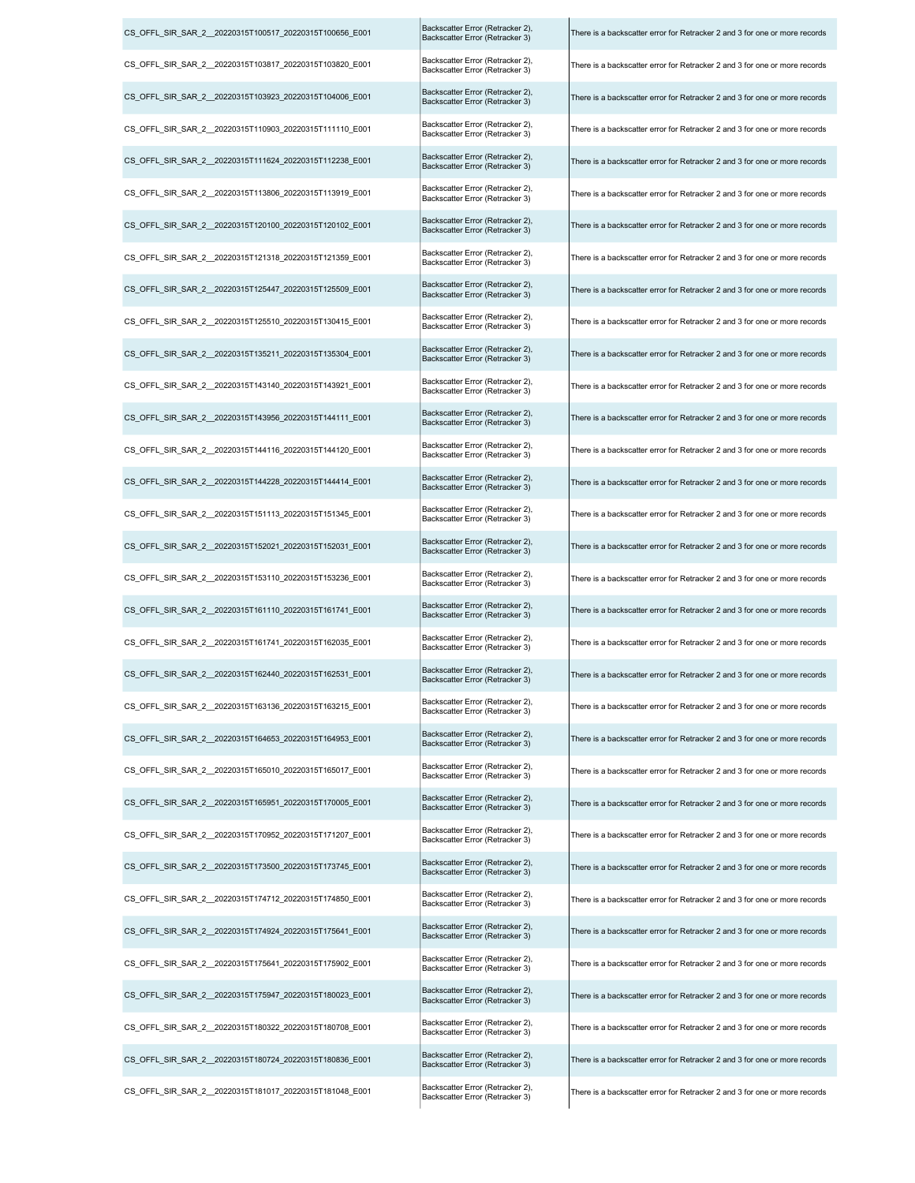| CS OFFL SIR SAR 2 20220315T100517 20220315T100656 E001  | Backscatter Error (Retracker 2),<br>Backscatter Error (Retracker 3) | There is a backscatter error for Retracker 2 and 3 for one or more records |
|---------------------------------------------------------|---------------------------------------------------------------------|----------------------------------------------------------------------------|
| CS_OFFL_SIR_SAR_2_20220315T103817_20220315T103820_E001  | Backscatter Error (Retracker 2),<br>Backscatter Error (Retracker 3) | There is a backscatter error for Retracker 2 and 3 for one or more records |
| CS_OFFL_SIR_SAR_2_20220315T103923_20220315T104006_E001  | Backscatter Error (Retracker 2),<br>Backscatter Error (Retracker 3) | There is a backscatter error for Retracker 2 and 3 for one or more records |
| CS OFFL SIR SAR 2 20220315T110903 20220315T111110 E001  | Backscatter Error (Retracker 2),<br>Backscatter Error (Retracker 3) | There is a backscatter error for Retracker 2 and 3 for one or more records |
| CS_OFFL_SIR_SAR_2__20220315T111624_20220315T112238_E001 | Backscatter Error (Retracker 2),<br>Backscatter Error (Retracker 3) | There is a backscatter error for Retracker 2 and 3 for one or more records |
| CS OFFL SIR SAR 2 20220315T113806 20220315T113919 E001  | Backscatter Error (Retracker 2),<br>Backscatter Error (Retracker 3) | There is a backscatter error for Retracker 2 and 3 for one or more records |
| CS OFFL SIR SAR 2 20220315T120100 20220315T120102 E001  | Backscatter Error (Retracker 2),<br>Backscatter Error (Retracker 3) | There is a backscatter error for Retracker 2 and 3 for one or more records |
| CS_OFFL_SIR_SAR_2_20220315T121318_20220315T121359_E001  | Backscatter Error (Retracker 2),<br>Backscatter Error (Retracker 3) | There is a backscatter error for Retracker 2 and 3 for one or more records |
| CS_OFFL_SIR_SAR_2__20220315T125447_20220315T125509_E001 | Backscatter Error (Retracker 2),<br>Backscatter Error (Retracker 3) | There is a backscatter error for Retracker 2 and 3 for one or more records |
| CS_OFFL_SIR_SAR_2__20220315T125510_20220315T130415_E001 | Backscatter Error (Retracker 2),<br>Backscatter Error (Retracker 3) | There is a backscatter error for Retracker 2 and 3 for one or more records |
| CS OFFL SIR SAR 2 20220315T135211 20220315T135304 E001  | Backscatter Error (Retracker 2),<br>Backscatter Error (Retracker 3) | There is a backscatter error for Retracker 2 and 3 for one or more records |
| CS_OFFL_SIR_SAR_2__20220315T143140_20220315T143921_E001 | Backscatter Error (Retracker 2),<br>Backscatter Error (Retracker 3) | There is a backscatter error for Retracker 2 and 3 for one or more records |
| CS_OFFL_SIR_SAR_2_20220315T143956_20220315T144111_E001  | Backscatter Error (Retracker 2),<br>Backscatter Error (Retracker 3) | There is a backscatter error for Retracker 2 and 3 for one or more records |
| CS OFFL SIR SAR 2 20220315T144116 20220315T144120 E001  | Backscatter Error (Retracker 2),<br>Backscatter Error (Retracker 3) | There is a backscatter error for Retracker 2 and 3 for one or more records |
| CS_OFFL_SIR_SAR_2_20220315T144228_20220315T144414_E001  | Backscatter Error (Retracker 2),<br>Backscatter Error (Retracker 3) | There is a backscatter error for Retracker 2 and 3 for one or more records |
| CS_OFFL_SIR_SAR_2_20220315T151113_20220315T151345_E001  | Backscatter Error (Retracker 2),<br>Backscatter Error (Retracker 3) | There is a backscatter error for Retracker 2 and 3 for one or more records |
| CS OFFL SIR SAR 2 20220315T152021 20220315T152031 E001  | Backscatter Error (Retracker 2),<br>Backscatter Error (Retracker 3) | There is a backscatter error for Retracker 2 and 3 for one or more records |
| CS OFFL SIR SAR 2 20220315T153110 20220315T153236 E001  | Backscatter Error (Retracker 2),<br>Backscatter Error (Retracker 3) | There is a backscatter error for Retracker 2 and 3 for one or more records |
| CS OFFL SIR SAR 2 20220315T161110 20220315T161741 E001  | Backscatter Error (Retracker 2),<br>Backscatter Error (Retracker 3) | There is a backscatter error for Retracker 2 and 3 for one or more records |
| CS OFFL SIR SAR 2 20220315T161741 20220315T162035 E001  | Backscatter Error (Retracker 2),<br>Backscatter Error (Retracker 3) | There is a backscatter error for Retracker 2 and 3 for one or more records |
| CS_OFFL_SIR_SAR_2_20220315T162440_20220315T162531_E001  | Backscatter Error (Retracker 2),<br>Backscatter Error (Retracker 3) | There is a backscatter error for Retracker 2 and 3 for one or more records |
| CS OFFL SIR SAR 2 20220315T163136 20220315T163215 E001  | Backscatter Error (Retracker 2),<br>Backscatter Error (Retracker 3) | There is a backscatter error for Retracker 2 and 3 for one or more records |
| CS OFFL SIR SAR 2 20220315T164653 20220315T164953 E001  | Backscatter Error (Retracker 2),<br>Backscatter Error (Retracker 3) | There is a backscatter error for Retracker 2 and 3 for one or more records |
| CS OFFL SIR SAR 2 20220315T165010 20220315T165017 E001  | Backscatter Error (Retracker 2),<br>Backscatter Error (Retracker 3) | There is a backscatter error for Retracker 2 and 3 for one or more records |
| CS OFFL SIR SAR 2 20220315T165951 20220315T170005 E001  | Backscatter Error (Retracker 2),<br>Backscatter Error (Retracker 3) | There is a backscatter error for Retracker 2 and 3 for one or more records |
| CS OFFL SIR SAR 2 20220315T170952 20220315T171207 E001  | Backscatter Error (Retracker 2),<br>Backscatter Error (Retracker 3) | There is a backscatter error for Retracker 2 and 3 for one or more records |
| CS OFFL SIR SAR 2 20220315T173500 20220315T173745 E001  | Backscatter Error (Retracker 2),<br>Backscatter Error (Retracker 3) | There is a backscatter error for Retracker 2 and 3 for one or more records |
| CS OFFL SIR SAR 2 20220315T174712 20220315T174850 E001  | Backscatter Error (Retracker 2),<br>Backscatter Error (Retracker 3) | There is a backscatter error for Retracker 2 and 3 for one or more records |
| CS OFFL SIR SAR 2 20220315T174924 20220315T175641 E001  | Backscatter Error (Retracker 2),<br>Backscatter Error (Retracker 3) | There is a backscatter error for Retracker 2 and 3 for one or more records |
| CS OFFL SIR SAR 2 20220315T175641 20220315T175902 E001  | Backscatter Error (Retracker 2),<br>Backscatter Error (Retracker 3) | There is a backscatter error for Retracker 2 and 3 for one or more records |
| CS_OFFL_SIR_SAR_2_20220315T175947_20220315T180023_E001  | Backscatter Error (Retracker 2),<br>Backscatter Error (Retracker 3) | There is a backscatter error for Retracker 2 and 3 for one or more records |
| CS OFFL SIR SAR 2 20220315T180322 20220315T180708 E001  | Backscatter Error (Retracker 2),<br>Backscatter Error (Retracker 3) | There is a backscatter error for Retracker 2 and 3 for one or more records |
| CS OFFL SIR SAR 2 20220315T180724 20220315T180836 E001  | Backscatter Error (Retracker 2),<br>Backscatter Error (Retracker 3) | There is a backscatter error for Retracker 2 and 3 for one or more records |
| CS_OFFL_SIR_SAR_2_20220315T181017_20220315T181048_E001  | Backscatter Error (Retracker 2),<br>Backscatter Error (Retracker 3) | There is a backscatter error for Retracker 2 and 3 for one or more records |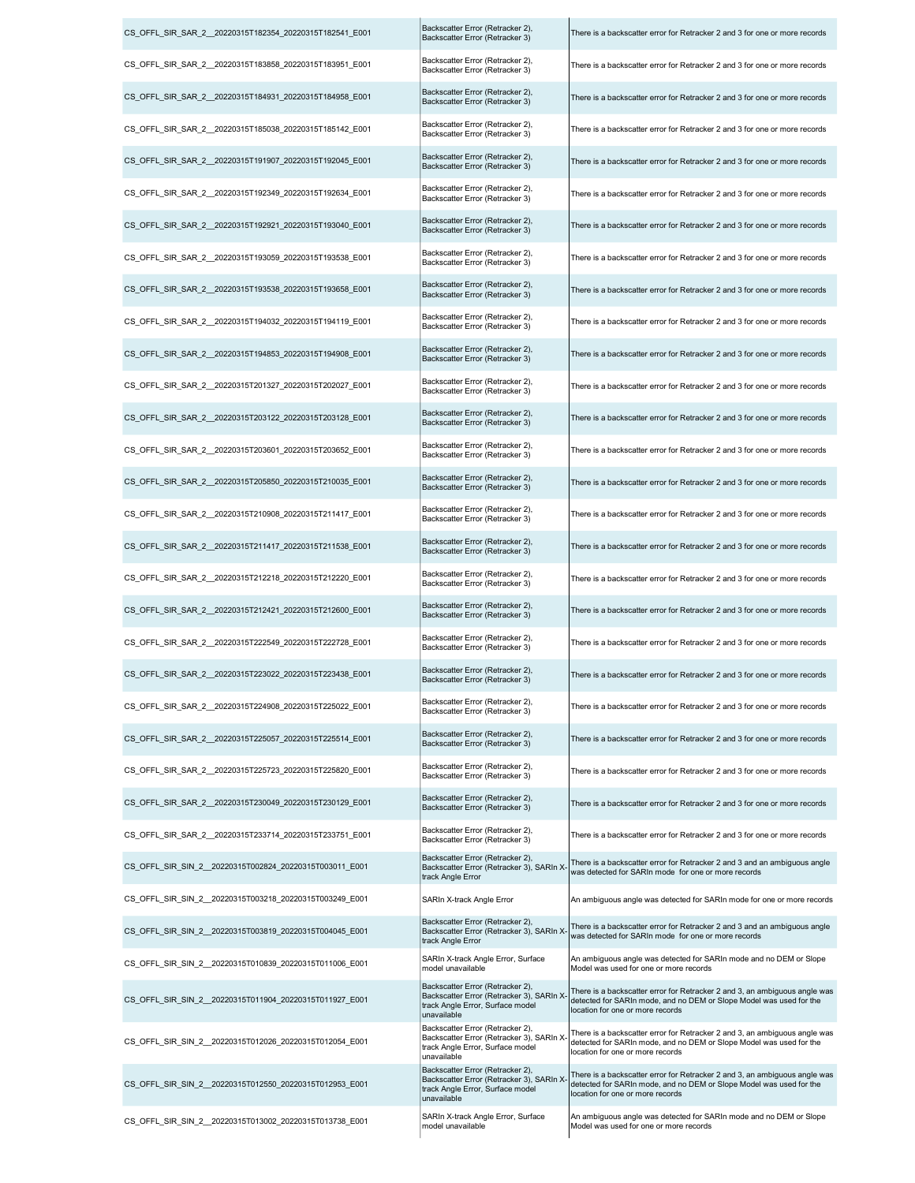| CS_OFFL_SIR_SAR_2_20220315T182354_20220315T182541_E001  | Backscatter Error (Retracker 2),<br>Backscatter Error (Retracker 3)                                                              | There is a backscatter error for Retracker 2 and 3 for one or more records                                                                                                            |
|---------------------------------------------------------|----------------------------------------------------------------------------------------------------------------------------------|---------------------------------------------------------------------------------------------------------------------------------------------------------------------------------------|
| CS OFFL SIR SAR 2 20220315T183858 20220315T183951 E001  | Backscatter Error (Retracker 2),<br>Backscatter Error (Retracker 3)                                                              | There is a backscatter error for Retracker 2 and 3 for one or more records                                                                                                            |
| CS OFFL SIR SAR 2 20220315T184931 20220315T184958 E001  | Backscatter Error (Retracker 2),<br>Backscatter Error (Retracker 3)                                                              | There is a backscatter error for Retracker 2 and 3 for one or more records                                                                                                            |
| CS_OFFL_SIR_SAR_2_20220315T185038_20220315T185142 E001  | Backscatter Error (Retracker 2),<br>Backscatter Error (Retracker 3)                                                              | There is a backscatter error for Retracker 2 and 3 for one or more records                                                                                                            |
| CS_OFFL_SIR_SAR_2__20220315T191907_20220315T192045_E001 | Backscatter Error (Retracker 2),<br>Backscatter Error (Retracker 3)                                                              | There is a backscatter error for Retracker 2 and 3 for one or more records                                                                                                            |
| CS OFFL SIR SAR 2 20220315T192349 20220315T192634 E001  | Backscatter Error (Retracker 2),<br>Backscatter Error (Retracker 3)                                                              | There is a backscatter error for Retracker 2 and 3 for one or more records                                                                                                            |
| CS_OFFL_SIR_SAR_2__20220315T192921_20220315T193040_E001 | Backscatter Error (Retracker 2),<br>Backscatter Error (Retracker 3)                                                              | There is a backscatter error for Retracker 2 and 3 for one or more records                                                                                                            |
| CS_OFFL_SIR_SAR_2_20220315T193059_20220315T193538_E001  | Backscatter Error (Retracker 2),<br>Backscatter Error (Retracker 3)                                                              | There is a backscatter error for Retracker 2 and 3 for one or more records                                                                                                            |
| CS OFFL SIR SAR 2 20220315T193538 20220315T193658 E001  | Backscatter Error (Retracker 2),<br>Backscatter Error (Retracker 3)                                                              | There is a backscatter error for Retracker 2 and 3 for one or more records                                                                                                            |
| CS OFFL SIR SAR 2 20220315T194032 20220315T194119 E001  | Backscatter Error (Retracker 2),<br>Backscatter Error (Retracker 3)                                                              | There is a backscatter error for Retracker 2 and 3 for one or more records                                                                                                            |
| CS OFFL SIR SAR 2 20220315T194853 20220315T194908 E001  | Backscatter Error (Retracker 2),<br>Backscatter Error (Retracker 3)                                                              | There is a backscatter error for Retracker 2 and 3 for one or more records                                                                                                            |
| CS OFFL SIR SAR 2 20220315T201327 20220315T202027 E001  | Backscatter Error (Retracker 2),<br>Backscatter Error (Retracker 3)                                                              | There is a backscatter error for Retracker 2 and 3 for one or more records                                                                                                            |
| CS OFFL SIR SAR 2 20220315T203122 20220315T203128 E001  | Backscatter Error (Retracker 2),<br>Backscatter Error (Retracker 3)                                                              | There is a backscatter error for Retracker 2 and 3 for one or more records                                                                                                            |
| CS OFFL SIR SAR 2 20220315T203601 20220315T203652 E001  | Backscatter Error (Retracker 2),<br>Backscatter Error (Retracker 3)                                                              | There is a backscatter error for Retracker 2 and 3 for one or more records                                                                                                            |
| CS OFFL SIR SAR 2 20220315T205850 20220315T210035 E001  | Backscatter Error (Retracker 2),<br>Backscatter Error (Retracker 3)                                                              | There is a backscatter error for Retracker 2 and 3 for one or more records                                                                                                            |
| CS_OFFL_SIR_SAR_2__20220315T210908_20220315T211417_E001 | Backscatter Error (Retracker 2),<br>Backscatter Error (Retracker 3)                                                              | There is a backscatter error for Retracker 2 and 3 for one or more records                                                                                                            |
| CS_OFFL_SIR_SAR_2_20220315T211417_20220315T211538_E001  | Backscatter Error (Retracker 2),<br>Backscatter Error (Retracker 3)                                                              | There is a backscatter error for Retracker 2 and 3 for one or more records                                                                                                            |
| CS_OFFL_SIR_SAR_2__20220315T212218_20220315T212220_E001 | Backscatter Error (Retracker 2),<br>Backscatter Error (Retracker 3)                                                              | There is a backscatter error for Retracker 2 and 3 for one or more records                                                                                                            |
| CS OFFL SIR SAR 2 20220315T212421 20220315T212600 E001  | Backscatter Error (Retracker 2),<br>Backscatter Error (Retracker 3)                                                              | There is a backscatter error for Retracker 2 and 3 for one or more records                                                                                                            |
| CS_OFFL_SIR_SAR_2__20220315T222549_20220315T222728_E001 | Backscatter Error (Retracker 2),<br>Backscatter Error (Retracker 3)                                                              | There is a backscatter error for Retracker 2 and 3 for one or more records                                                                                                            |
| CS_OFFL_SIR_SAR_2_20220315T223022_20220315T223438_E001  | Backscatter Error (Retracker 2),<br>Backscatter Error (Retracker 3)                                                              | There is a backscatter error for Retracker 2 and 3 for one or more records                                                                                                            |
| CS OFFL SIR SAR 2 20220315T224908 20220315T225022 E001  | Backscatter Error (Retracker 2),<br>Backscatter Error (Retracker 3)                                                              | There is a backscatter error for Retracker 2 and 3 for one or more records                                                                                                            |
| CS_OFFL_SIR_SAR_2_20220315T225057_20220315T225514_E001  | Backscatter Error (Retracker 2),<br>Backscatter Error (Retracker 3)                                                              | There is a backscatter error for Retracker 2 and 3 for one or more records                                                                                                            |
| CS_OFFL_SIR_SAR_2_20220315T225723_20220315T225820_E001  | Backscatter Error (Retracker 2),<br>Backscatter Error (Retracker 3)                                                              | There is a backscatter error for Retracker 2 and 3 for one or more records                                                                                                            |
| CS OFFL SIR SAR 2 20220315T230049 20220315T230129 E001  | Backscatter Error (Retracker 2),<br>Backscatter Error (Retracker 3)                                                              | There is a backscatter error for Retracker 2 and 3 for one or more records                                                                                                            |
| CS_OFFL_SIR_SAR_2__20220315T233714_20220315T233751_E001 | Backscatter Error (Retracker 2),<br>Backscatter Error (Retracker 3)                                                              | There is a backscatter error for Retracker 2 and 3 for one or more records                                                                                                            |
| CS OFFL SIR SIN 2 20220315T002824 20220315T003011 E001  | Backscatter Error (Retracker 2),<br>Backscatter Error (Retracker 3), SARIn X<br>track Angle Error                                | There is a backscatter error for Retracker 2 and 3 and an ambiguous angle<br>was detected for SARIn mode for one or more records                                                      |
| CS OFFL SIR SIN 2 20220315T003218 20220315T003249 E001  | SARIn X-track Angle Error                                                                                                        | An ambiguous angle was detected for SARIn mode for one or more records                                                                                                                |
| CS OFFL SIR SIN 2 20220315T003819 20220315T004045 E001  | Backscatter Error (Retracker 2),<br>Backscatter Error (Retracker 3), SARIn X-<br>track Angle Error                               | There is a backscatter error for Retracker 2 and 3 and an ambiguous angle<br>was detected for SARIn mode for one or more records                                                      |
| CS OFFL SIR SIN 2 20220315T010839 20220315T011006 E001  | SARIn X-track Angle Error, Surface<br>model unavailable                                                                          | An ambiguous angle was detected for SARIn mode and no DEM or Slope<br>Model was used for one or more records                                                                          |
| CS OFFL SIR SIN 2 20220315T011904 20220315T011927 E001  | Backscatter Error (Retracker 2),<br>Backscatter Error (Retracker 3), SARIn X-<br>track Angle Error, Surface model<br>unavailable | There is a backscatter error for Retracker 2 and 3, an ambiguous angle was<br>detected for SARIn mode, and no DEM or Slope Model was used for the<br>location for one or more records |
| CS OFFL SIR SIN 2 20220315T012026 20220315T012054 E001  | Backscatter Error (Retracker 2),<br>Backscatter Error (Retracker 3), SARIn X<br>track Angle Error, Surface model<br>unavailable  | There is a backscatter error for Retracker 2 and 3, an ambiguous angle was<br>detected for SARIn mode, and no DEM or Slope Model was used for the<br>location for one or more records |
| CS OFFL SIR SIN 2 20220315T012550 20220315T012953 E001  | Backscatter Error (Retracker 2),<br>Backscatter Error (Retracker 3), SARIn X<br>track Angle Error, Surface model<br>unavailable  | There is a backscatter error for Retracker 2 and 3, an ambiguous angle was<br>detected for SARIn mode, and no DEM or Slope Model was used for the<br>location for one or more records |
| CS_OFFL_SIR_SIN_2_20220315T013002_20220315T013738_E001  | SARIn X-track Angle Error, Surface<br>model unavailable                                                                          | An ambiguous angle was detected for SARIn mode and no DEM or Slope<br>Model was used for one or more records                                                                          |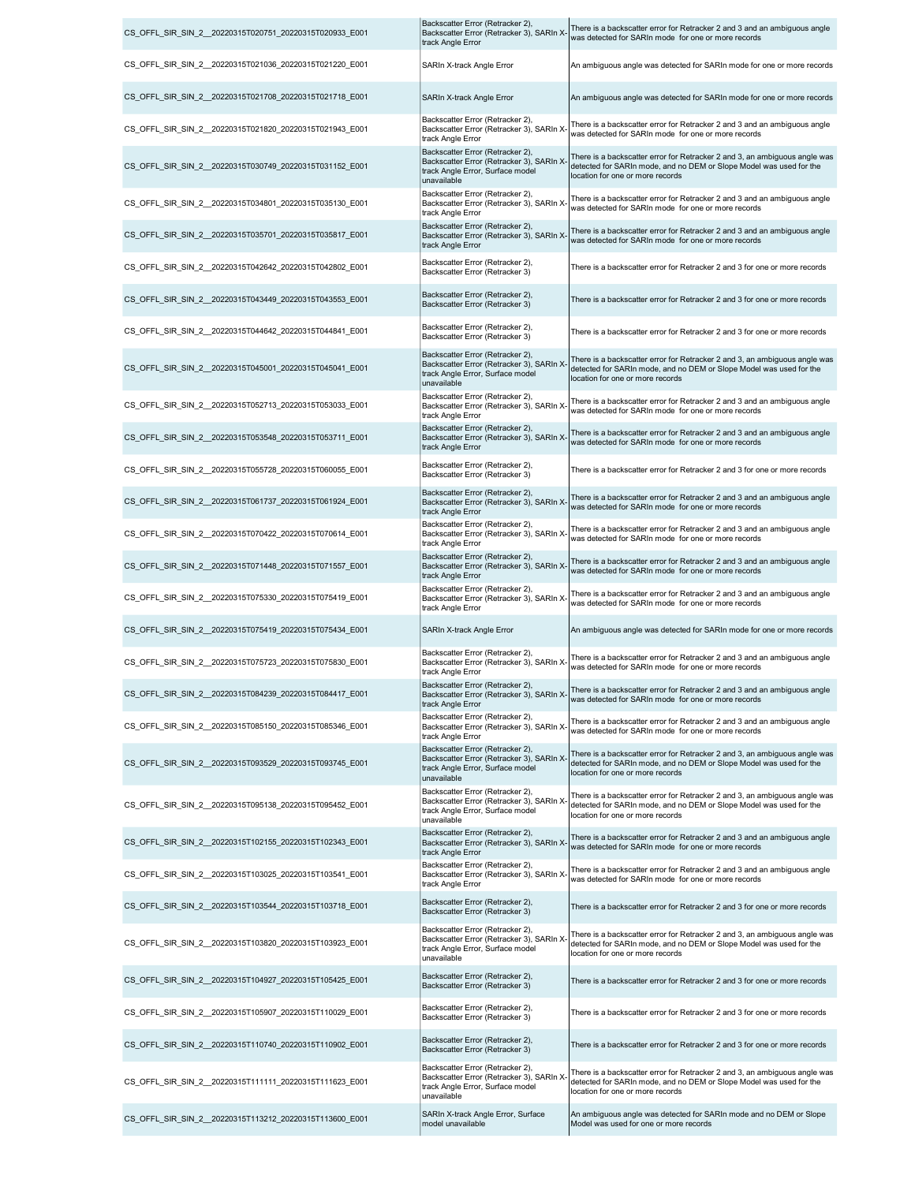| CS OFFL SIR SIN 2 20220315T020751 20220315T020933 E001  | Backscatter Error (Retracker 2),<br>Backscatter Error (Retracker 3), SARIn X-<br>track Angle Error                               | There is a backscatter error for Retracker 2 and 3 and an ambiguous angle<br>was detected for SARIn mode for one or more records                                                      |
|---------------------------------------------------------|----------------------------------------------------------------------------------------------------------------------------------|---------------------------------------------------------------------------------------------------------------------------------------------------------------------------------------|
| CS_OFFL_SIR_SIN_2__20220315T021036_20220315T021220_E001 | SARIn X-track Angle Error                                                                                                        | An ambiguous angle was detected for SARIn mode for one or more records                                                                                                                |
| CS OFFL SIR SIN 2 20220315T021708 20220315T021718 E001  | SARIn X-track Angle Error                                                                                                        | An ambiguous angle was detected for SARIn mode for one or more records                                                                                                                |
| CS OFFL SIR SIN 2 20220315T021820 20220315T021943 E001  | Backscatter Error (Retracker 2),<br>Backscatter Error (Retracker 3), SARIn X-<br>track Angle Error                               | There is a backscatter error for Retracker 2 and 3 and an ambiguous angle<br>was detected for SARIn mode for one or more records                                                      |
| CS_OFFL_SIR_SIN_2_20220315T030749_20220315T031152_E001  | Backscatter Error (Retracker 2),<br>Backscatter Error (Retracker 3), SARIn X<br>track Angle Error, Surface model<br>unavailable  | There is a backscatter error for Retracker 2 and 3, an ambiguous angle was<br>detected for SARIn mode, and no DEM or Slope Model was used for the<br>location for one or more records |
| CS OFFL SIR SIN 2 20220315T034801 20220315T035130 E001  | Backscatter Error (Retracker 2),<br>Backscatter Error (Retracker 3), SARIn X-<br>track Angle Error                               | There is a backscatter error for Retracker 2 and 3 and an ambiguous angle<br>was detected for SARIn mode for one or more records                                                      |
| CS_OFFL_SIR_SIN_2_20220315T035701_20220315T035817_E001  | Backscatter Error (Retracker 2),<br>Backscatter Error (Retracker 3), SARIn X<br>track Angle Error                                | There is a backscatter error for Retracker 2 and 3 and an ambiguous angle<br>was detected for SARIn mode for one or more records                                                      |
| CS_OFFL_SIR_SIN_2_20220315T042642_20220315T042802_E001  | Backscatter Error (Retracker 2),<br>Backscatter Error (Retracker 3)                                                              | There is a backscatter error for Retracker 2 and 3 for one or more records                                                                                                            |
| CS OFFL SIR SIN 2 20220315T043449 20220315T043553 E001  | Backscatter Error (Retracker 2),<br>Backscatter Error (Retracker 3)                                                              | There is a backscatter error for Retracker 2 and 3 for one or more records                                                                                                            |
| CS OFFL SIR SIN 2 20220315T044642 20220315T044841 E001  | Backscatter Error (Retracker 2),<br>Backscatter Error (Retracker 3)                                                              | There is a backscatter error for Retracker 2 and 3 for one or more records                                                                                                            |
| CS_OFFL_SIR_SIN_2_20220315T045001_20220315T045041_E001  | Backscatter Error (Retracker 2),<br>Backscatter Error (Retracker 3), SARIn X-<br>track Angle Error, Surface model<br>unavailable | There is a backscatter error for Retracker 2 and 3, an ambiguous angle was<br>detected for SARIn mode, and no DEM or Slope Model was used for the<br>location for one or more records |
| CS_OFFL_SIR_SIN_2_20220315T052713_20220315T053033_E001  | Backscatter Error (Retracker 2),<br>Backscatter Error (Retracker 3), SARIn X-<br>track Angle Error                               | There is a backscatter error for Retracker 2 and 3 and an ambiguous angle<br>was detected for SARIn mode for one or more records                                                      |
| CS OFFL SIR SIN 2 20220315T053548 20220315T053711 E001  | Backscatter Error (Retracker 2),<br>Backscatter Error (Retracker 3), SARIn X-<br>track Angle Error                               | There is a backscatter error for Retracker 2 and 3 and an ambiguous angle<br>was detected for SARIn mode for one or more records                                                      |
| CS OFFL SIR SIN 2 20220315T055728 20220315T060055 E001  | Backscatter Error (Retracker 2),<br>Backscatter Error (Retracker 3)                                                              | There is a backscatter error for Retracker 2 and 3 for one or more records                                                                                                            |
| CS_OFFL_SIR_SIN_2_20220315T061737_20220315T061924_E001  | Backscatter Error (Retracker 2),<br>Backscatter Error (Retracker 3), SARIn X<br>track Angle Error                                | There is a backscatter error for Retracker 2 and 3 and an ambiguous angle<br>was detected for SARIn mode for one or more records                                                      |
| CS_OFFL_SIR_SIN_2_20220315T070422_20220315T070614_E001  | Backscatter Error (Retracker 2),<br>Backscatter Error (Retracker 3), SARIn X-<br>track Angle Error                               | There is a backscatter error for Retracker 2 and 3 and an ambiguous angle<br>was detected for SARIn mode for one or more records                                                      |
| CS_OFFL_SIR_SIN_2_20220315T071448_20220315T071557_E001  | Backscatter Error (Retracker 2),<br>Backscatter Error (Retracker 3), SARIn X-                                                    | There is a backscatter error for Retracker 2 and 3 and an ambiguous angle<br>was detected for SARIn mode for one or more records                                                      |
|                                                         | track Angle Error                                                                                                                |                                                                                                                                                                                       |
| CS_OFFL_SIR_SIN_2_20220315T075330_20220315T075419_E001  | Backscatter Error (Retracker 2),<br>Backscatter Error (Retracker 3), SARIn X-<br>track Angle Error                               | There is a backscatter error for Retracker 2 and 3 and an ambiguous angle<br>was detected for SARIn mode for one or more records                                                      |
| CS_OFFL_SIR_SIN_2_20220315T075419_20220315T075434_E001  | SARIn X-track Angle Error                                                                                                        | An ambiguous angle was detected for SARIn mode for one or more records                                                                                                                |
| CS_OFFL_SIR_SIN_2_20220315T075723_20220315T075830_E001  | Backscatter Error (Retracker 2),<br>Backscatter Error (Retracker 3), SARIn X<br>track Angle Error                                | There is a backscatter error for Retracker 2 and 3 and an ambiguous angle<br>was detected for SARIn mode for one or more records                                                      |
| CS OFFL SIR SIN 2 20220315T084239 20220315T084417 E001  | Backscatter Error (Retracker 2),<br>Backscatter Error (Retracker 3), SARIn X-<br>track Angle Error                               | There is a backscatter error for Retracker 2 and 3 and an ambiguous angle<br>was detected for SARIn mode for one or more records                                                      |
| CS OFFL SIR SIN 2 20220315T085150 20220315T085346 E001  | Backscatter Error (Retracker 2),<br>Backscatter Error (Retracker 3), SARIn X-<br>track Angle Error                               | There is a backscatter error for Retracker 2 and 3 and an ambiguous angle<br>was detected for SARIn mode for one or more records                                                      |
| CS OFFL SIR SIN 2 20220315T093529 20220315T093745 E001  | Backscatter Error (Retracker 2),<br>Backscatter Error (Retracker 3), SARIn X-<br>track Angle Error, Surface model<br>unavailable | There is a backscatter error for Retracker 2 and 3, an ambiguous angle was<br>detected for SARIn mode, and no DEM or Slope Model was used for the<br>location for one or more records |
| CS_OFFL_SIR_SIN_2__20220315T095138_20220315T095452_E001 | Backscatter Error (Retracker 2),<br>Backscatter Error (Retracker 3), SARIn X-<br>track Angle Error, Surface model<br>unavailable | There is a backscatter error for Retracker 2 and 3, an ambiguous angle was<br>detected for SARIn mode, and no DEM or Slope Model was used for the<br>location for one or more records |
| CS OFFL SIR SIN 2 20220315T102155 20220315T102343 E001  | Backscatter Error (Retracker 2),<br>Backscatter Error (Retracker 3), SARIn X<br>track Angle Error                                | There is a backscatter error for Retracker 2 and 3 and an ambiguous angle<br>was detected for SARIn mode for one or more records                                                      |
| CS_OFFL_SIR_SIN_2_20220315T103025_20220315T103541_E001  | Backscatter Error (Retracker 2),<br>Backscatter Error (Retracker 3), SARIn X-<br>track Angle Error                               | There is a backscatter error for Retracker 2 and 3 and an ambiguous angle<br>was detected for SARIn mode for one or more records                                                      |
| CS_OFFL_SIR_SIN_2_20220315T103544_20220315T103718_E001  | Backscatter Error (Retracker 2),<br>Backscatter Error (Retracker 3)                                                              | There is a backscatter error for Retracker 2 and 3 for one or more records                                                                                                            |
| CS OFFL SIR SIN 2 20220315T103820 20220315T103923 E001  | Backscatter Error (Retracker 2),<br>Backscatter Error (Retracker 3), SARIn X<br>track Angle Error, Surface model<br>unavailable  | There is a backscatter error for Retracker 2 and 3, an ambiguous angle was<br>detected for SARIn mode, and no DEM or Slope Model was used for the<br>location for one or more records |
| CS OFFL SIR SIN 2 20220315T104927 20220315T105425 E001  | Backscatter Error (Retracker 2),<br>Backscatter Error (Retracker 3)                                                              | There is a backscatter error for Retracker 2 and 3 for one or more records                                                                                                            |
| CS OFFL SIR SIN 2 20220315T105907 20220315T110029 E001  | Backscatter Error (Retracker 2),<br>Backscatter Error (Retracker 3)                                                              | There is a backscatter error for Retracker 2 and 3 for one or more records                                                                                                            |
| CS OFFL SIR SIN 2 20220315T110740 20220315T110902 E001  | Backscatter Error (Retracker 2),<br>Backscatter Error (Retracker 3)                                                              | There is a backscatter error for Retracker 2 and 3 for one or more records                                                                                                            |
| CS OFFL SIR SIN 2 20220315T111111 20220315T111623 E001  | Backscatter Error (Retracker 2),<br>Backscatter Error (Retracker 3), SARIn X<br>track Angle Error, Surface model<br>unavailable  | There is a backscatter error for Retracker 2 and 3, an ambiguous angle was<br>detected for SARIn mode, and no DEM or Slope Model was used for the<br>location for one or more records |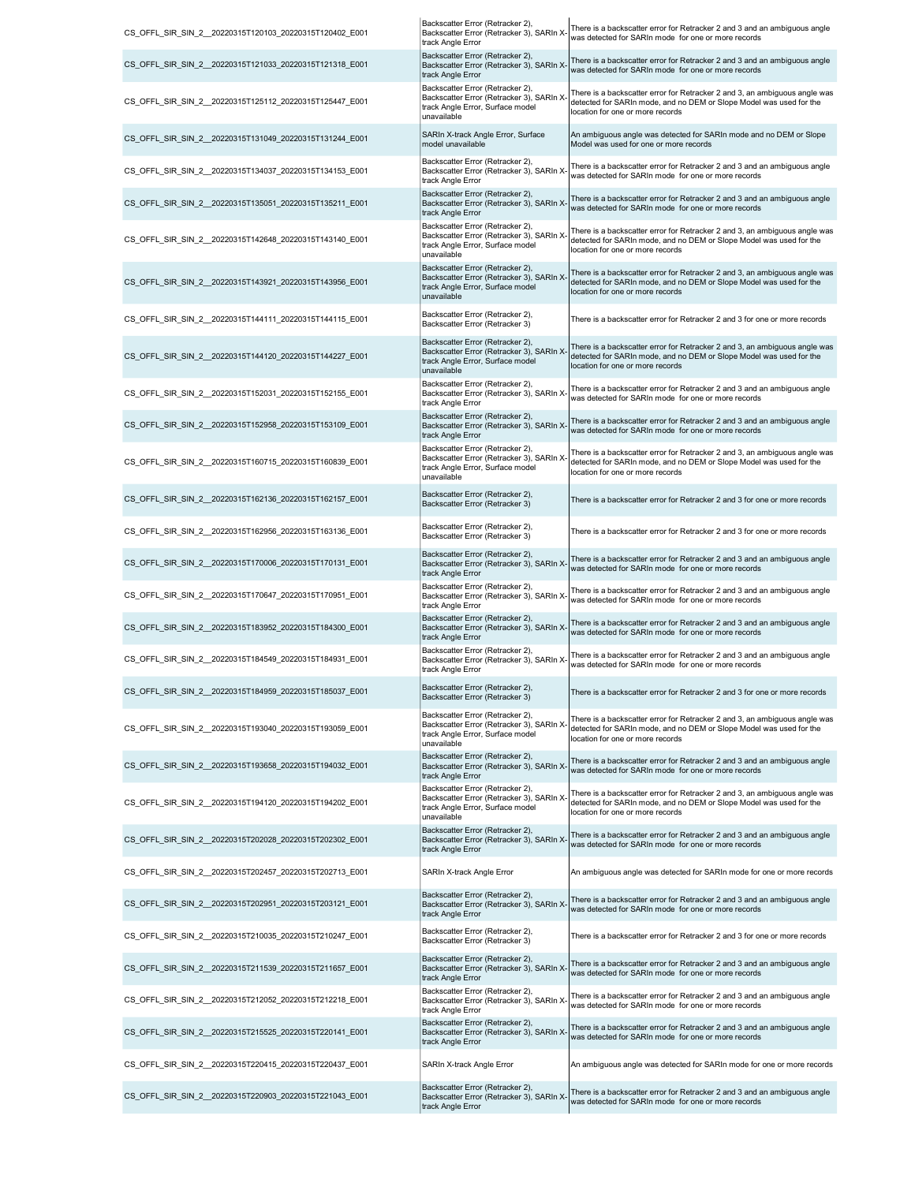| CS OFFL SIR SIN 2 20220315T120103 20220315T120402 E001  | Backscatter Error (Retracker 2),<br>Backscatter Error (Retracker 3), SARIn X-<br>track Angle Error                                    | There is a backscatter error for Retracker 2 and 3 and an ambiguous angle<br>was detected for SARIn mode for one or more records                                                      |
|---------------------------------------------------------|---------------------------------------------------------------------------------------------------------------------------------------|---------------------------------------------------------------------------------------------------------------------------------------------------------------------------------------|
| CS_OFFL_SIR_SIN_2_20220315T121033_20220315T121318_E001  | Backscatter Error (Retracker 2),<br>Backscatter Error (Retracker 3), SARIn X-<br>track Angle Error                                    | There is a backscatter error for Retracker 2 and 3 and an ambiguous angle<br>was detected for SARIn mode for one or more records                                                      |
| CS_OFFL_SIR_SIN_2_20220315T125112_20220315T125447_E001  | Backscatter Error (Retracker 2),<br>Backscatter Error (Retracker 3), SARIn X<br>track Angle Error, Surface model<br>unavailable       | There is a backscatter error for Retracker 2 and 3, an ambiguous angle was<br>detected for SARIn mode, and no DEM or Slope Model was used for the<br>location for one or more records |
| CS_OFFL_SIR_SIN_2_20220315T131049_20220315T131244_E001  | SARIn X-track Angle Error, Surface<br>model unavailable                                                                               | An ambiguous angle was detected for SARIn mode and no DEM or Slope<br>Model was used for one or more records                                                                          |
| CS OFFL SIR SIN 2 20220315T134037 20220315T134153 E001  | Backscatter Error (Retracker 2),<br>Backscatter Error (Retracker 3), SARIn X-<br>track Angle Error                                    | There is a backscatter error for Retracker 2 and 3 and an ambiguous angle<br>was detected for SARIn mode for one or more records                                                      |
| CS_OFFL_SIR_SIN_2_20220315T135051_20220315T135211_E001  | Backscatter Error (Retracker 2),<br>Backscatter Error (Retracker 3), SARIn X-<br>track Angle Error                                    | There is a backscatter error for Retracker 2 and 3 and an ambiguous angle<br>was detected for SARIn mode for one or more records                                                      |
| CS OFFL SIR SIN 2 20220315T142648 20220315T143140 E001  | Backscatter Error (Retracker 2),<br>Backscatter Error (Retracker 3), SARIn X<br>track Angle Error, Surface model<br>unavailable       | There is a backscatter error for Retracker 2 and 3, an ambiguous angle was<br>detected for SARIn mode, and no DEM or Slope Model was used for the<br>location for one or more records |
| CS_OFFL_SIR_SIN_2_20220315T143921_20220315T143956_E001  | Backscatter Error (Retracker 2),<br>Backscatter Error (Retracker 3), SARIn X<br>track Angle Error, Surface model<br>unavailable       | There is a backscatter error for Retracker 2 and 3, an ambiguous angle was<br>detected for SARIn mode, and no DEM or Slope Model was used for the<br>location for one or more records |
| CS_OFFL_SIR_SIN_2__20220315T144111_20220315T144115_E001 | Backscatter Error (Retracker 2),<br>Backscatter Error (Retracker 3)                                                                   | There is a backscatter error for Retracker 2 and 3 for one or more records                                                                                                            |
| CS_OFFL_SIR_SIN_2_20220315T144120_20220315T144227_E001  | Backscatter Error (Retracker 2),<br>Backscatter Error (Retracker 3), SARIn X-<br>track Angle Error, Surface model<br>unavailable      | There is a backscatter error for Retracker 2 and 3, an ambiguous angle was<br>detected for SARIn mode, and no DEM or Slope Model was used for the<br>location for one or more records |
| CS OFFL SIR SIN 2 20220315T152031 20220315T152155 E001  | Backscatter Error (Retracker 2),<br>Backscatter Error (Retracker 3), SARIn X-<br>track Angle Error                                    | There is a backscatter error for Retracker 2 and 3 and an ambiguous angle<br>was detected for SARIn mode for one or more records                                                      |
| CS_OFFL_SIR_SIN_2_20220315T152958_20220315T153109_E001  | Backscatter Error (Retracker 2),<br>Backscatter Error (Retracker 3), SARIn X-<br>track Angle Error                                    | There is a backscatter error for Retracker 2 and 3 and an ambiguous angle<br>was detected for SARIn mode for one or more records                                                      |
| CS OFFL SIR SIN 2 20220315T160715 20220315T160839 E001  | Backscatter Error (Retracker 2),<br>Backscatter Error (Retracker 3), SARIn X<br>track Angle Error, Surface model<br>unavailable       | There is a backscatter error for Retracker 2 and 3, an ambiguous angle was<br>detected for SARIn mode, and no DEM or Slope Model was used for the<br>location for one or more records |
| CS_OFFL_SIR_SIN_2_20220315T162136_20220315T162157_E001  | Backscatter Error (Retracker 2),<br>Backscatter Error (Retracker 3)                                                                   | There is a backscatter error for Retracker 2 and 3 for one or more records                                                                                                            |
| CS OFFL SIR SIN 2 20220315T162956 20220315T163136 E001  | Backscatter Error (Retracker 2),<br>Backscatter Error (Retracker 3)                                                                   | There is a backscatter error for Retracker 2 and 3 for one or more records                                                                                                            |
| CS_OFFL_SIR_SIN_2_20220315T170006_20220315T170131_E001  | Backscatter Error (Retracker 2),<br>Backscatter Error (Retracker 3), SARIn X<br>track Angle Error                                     | There is a backscatter error for Retracker 2 and 3 and an ambiguous angle<br>was detected for SARIn mode for one or more records                                                      |
| CS_OFFL_SIR_SIN_2_20220315T170647_20220315T170951_E001  | Backscatter Error (Retracker 2),<br>Backscatter Error (Retracker 3), SARIn X-<br>track Angle Error                                    | There is a backscatter error for Retracker 2 and 3 and an ambiguous angle<br>was detected for SARIn mode for one or more records                                                      |
| CS OFFL SIR SIN 2 20220315T183952 20220315T184300 E001  | Backscatter Error (Retracker 2),<br>Backscatter Error (Retracker 3), SARIn X<br>track Angle Error<br>Backscatter Error (Retracker 2), | There is a backscatter error for Retracker 2 and 3 and an ambiguous angle<br>was detected for SARIn mode for one or more records                                                      |
| CS OFFL SIR SIN 2 20220315T184549 20220315T184931 E001  | Backscatter Error (Retracker 3), SARIn X-<br>track Angle Error                                                                        | There is a backscatter error for Retracker 2 and 3 and an ambiguous angle<br>was detected for SARIn mode for one or more records                                                      |
| CS_OFFL_SIR_SIN_2__20220315T184959_20220315T185037_E001 | Backscatter Error (Retracker 2),<br>Backscatter Error (Retracker 3)                                                                   | There is a backscatter error for Retracker 2 and 3 for one or more records                                                                                                            |
| CS OFFL SIR SIN 2 20220315T193040 20220315T193059 E001  | Backscatter Error (Retracker 2),<br>Backscatter Error (Retracker 3), SARIn X<br>track Angle Error, Surface model<br>unavailable       | There is a backscatter error for Retracker 2 and 3, an ambiguous angle was<br>detected for SARIn mode, and no DEM or Slope Model was used for the<br>location for one or more records |
| CS OFFL SIR SIN 2 20220315T193658 20220315T194032 E001  | Backscatter Error (Retracker 2),<br>Backscatter Error (Retracker 3), SARIn X-<br>track Angle Error                                    | There is a backscatter error for Retracker 2 and 3 and an ambiguous angle<br>was detected for SARIn mode for one or more records                                                      |
| CS OFFL SIR SIN 2 20220315T194120 20220315T194202 E001  | Backscatter Error (Retracker 2),<br>Backscatter Error (Retracker 3), SARIn X<br>track Angle Error, Surface model<br>unavailable       | There is a backscatter error for Retracker 2 and 3, an ambiguous angle was<br>detected for SARIn mode, and no DEM or Slope Model was used for the<br>location for one or more records |
| CS OFFL SIR SIN 2 20220315T202028 20220315T202302 E001  | Backscatter Error (Retracker 2),<br>Backscatter Error (Retracker 3), SARIn X-<br>track Angle Error                                    | There is a backscatter error for Retracker 2 and 3 and an ambiguous angle<br>was detected for SARIn mode for one or more records                                                      |
| CS OFFL SIR SIN 2 20220315T202457 20220315T202713 E001  | SARIn X-track Angle Error                                                                                                             | An ambiguous angle was detected for SARIn mode for one or more records                                                                                                                |
| CS OFFL SIR SIN 2 20220315T202951 20220315T203121 E001  | Backscatter Error (Retracker 2),<br>Backscatter Error (Retracker 3), SARIn X<br>track Angle Error                                     | There is a backscatter error for Retracker 2 and 3 and an ambiguous angle<br>was detected for SARIn mode for one or more records                                                      |
| CS OFFL SIR SIN 2 20220315T210035 20220315T210247 E001  | Backscatter Error (Retracker 2),<br>Backscatter Error (Retracker 3)                                                                   | There is a backscatter error for Retracker 2 and 3 for one or more records                                                                                                            |
| CS_OFFL_SIR_SIN_2_20220315T211539_20220315T211657_E001  | Backscatter Error (Retracker 2),<br>Backscatter Error (Retracker 3), SARIn X-<br>track Angle Error                                    | There is a backscatter error for Retracker 2 and 3 and an ambiguous angle<br>was detected for SARIn mode for one or more records                                                      |
| CS_OFFL_SIR_SIN_2_20220315T212052_20220315T212218_E001  | Backscatter Error (Retracker 2),<br>Backscatter Error (Retracker 3), SARIn X-<br>track Angle Error                                    | There is a backscatter error for Retracker 2 and 3 and an ambiguous angle<br>was detected for SARIn mode for one or more records                                                      |
| CS OFFL SIR SIN 2 20220315T215525 20220315T220141 E001  | Backscatter Error (Retracker 2),<br>Backscatter Error (Retracker 3), SARIn X-<br>track Angle Error                                    | There is a backscatter error for Retracker 2 and 3 and an ambiguous angle<br>was detected for SARIn mode for one or more records                                                      |
| CS OFFL SIR SIN 2 20220315T220415 20220315T220437 E001  | SARIn X-track Angle Error                                                                                                             | An ambiguous angle was detected for SARIn mode for one or more records                                                                                                                |
| CS OFFL SIR SIN 2 20220315T220903 20220315T221043 E001  | Backscatter Error (Retracker 2),<br>Backscatter Error (Retracker 3), SARIn X-<br>track Angle Error                                    | There is a backscatter error for Retracker 2 and 3 and an ambiguous angle<br>was detected for SARIn mode for one or more records                                                      |